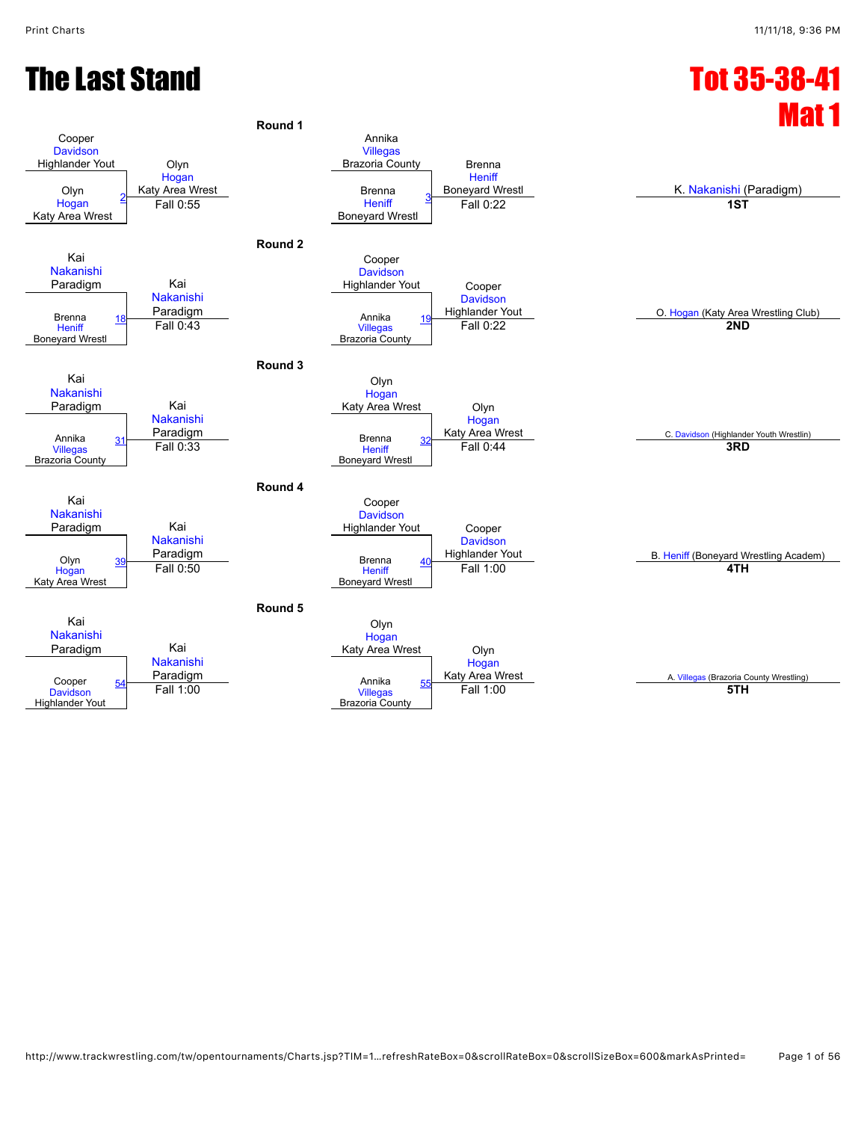#### The Last Stand Tot 35-38-41

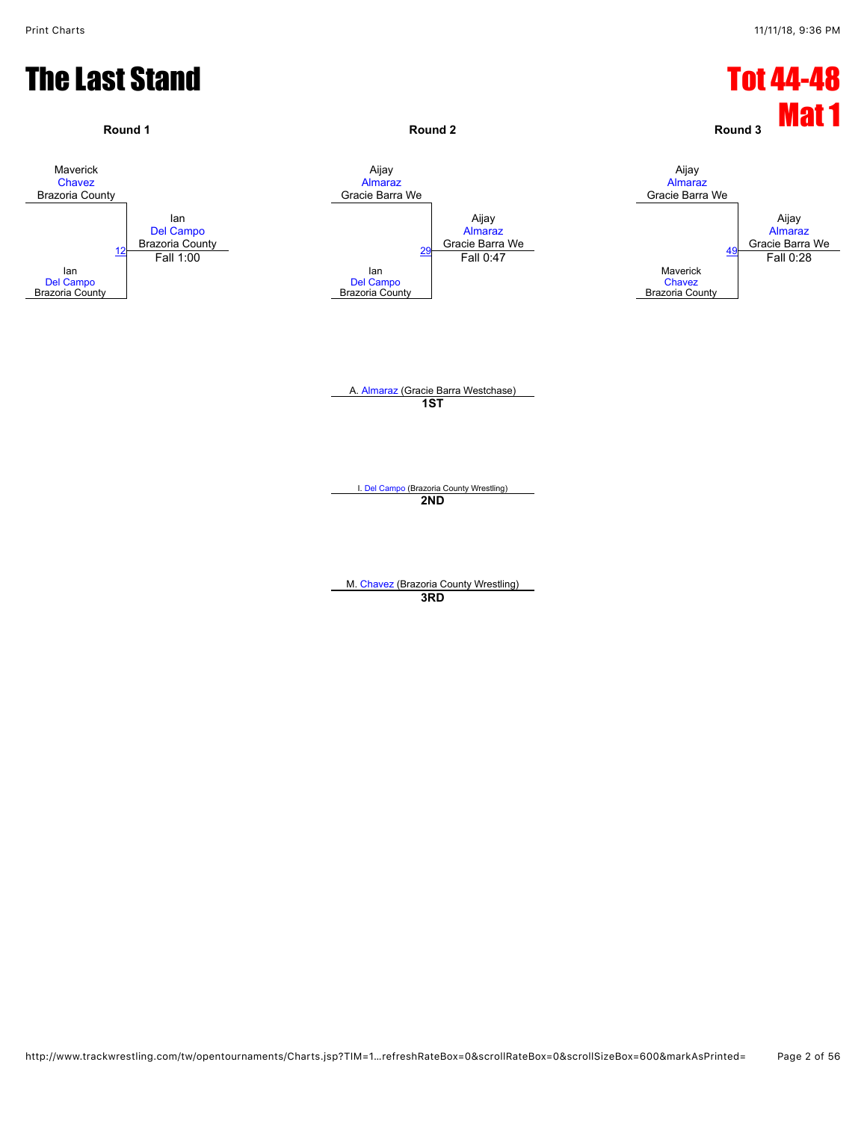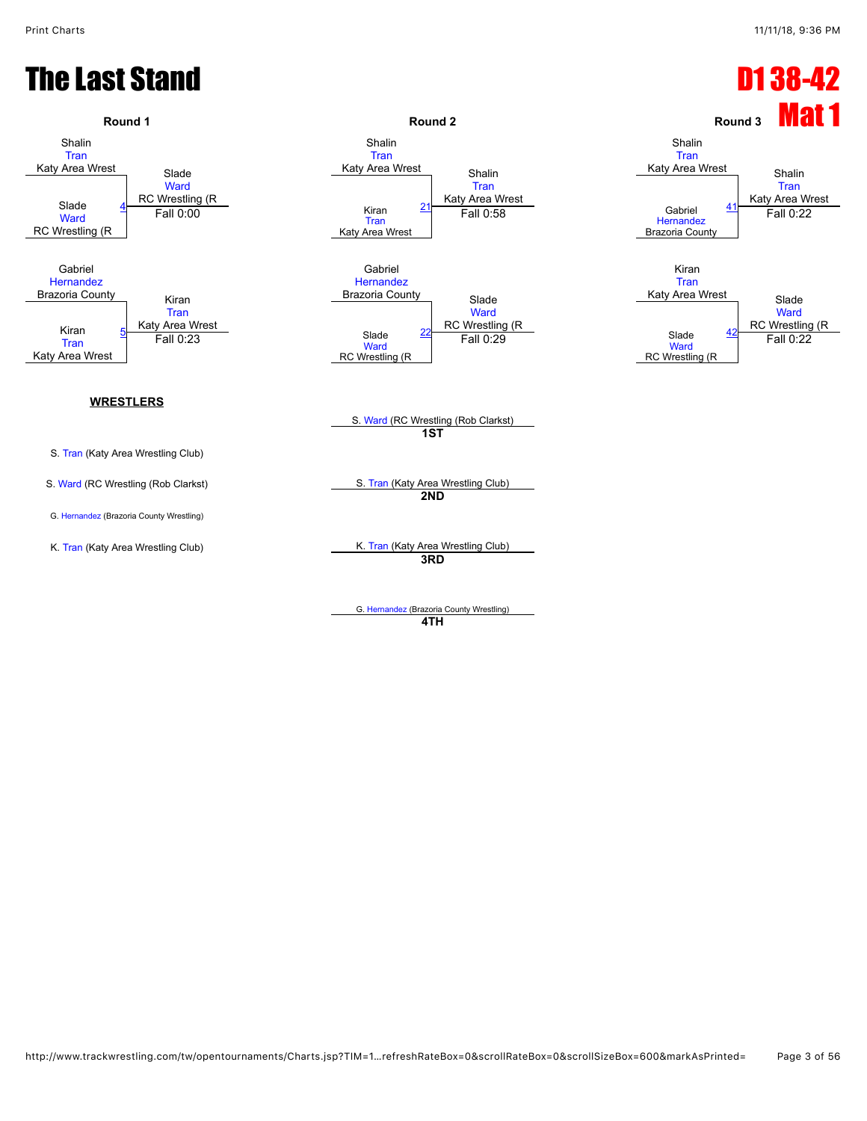#### The Last Stand D1 38-42



G. [Hernandez](javascript:viewProfile(896293132)) (Brazoria County Wrestling) **4TH**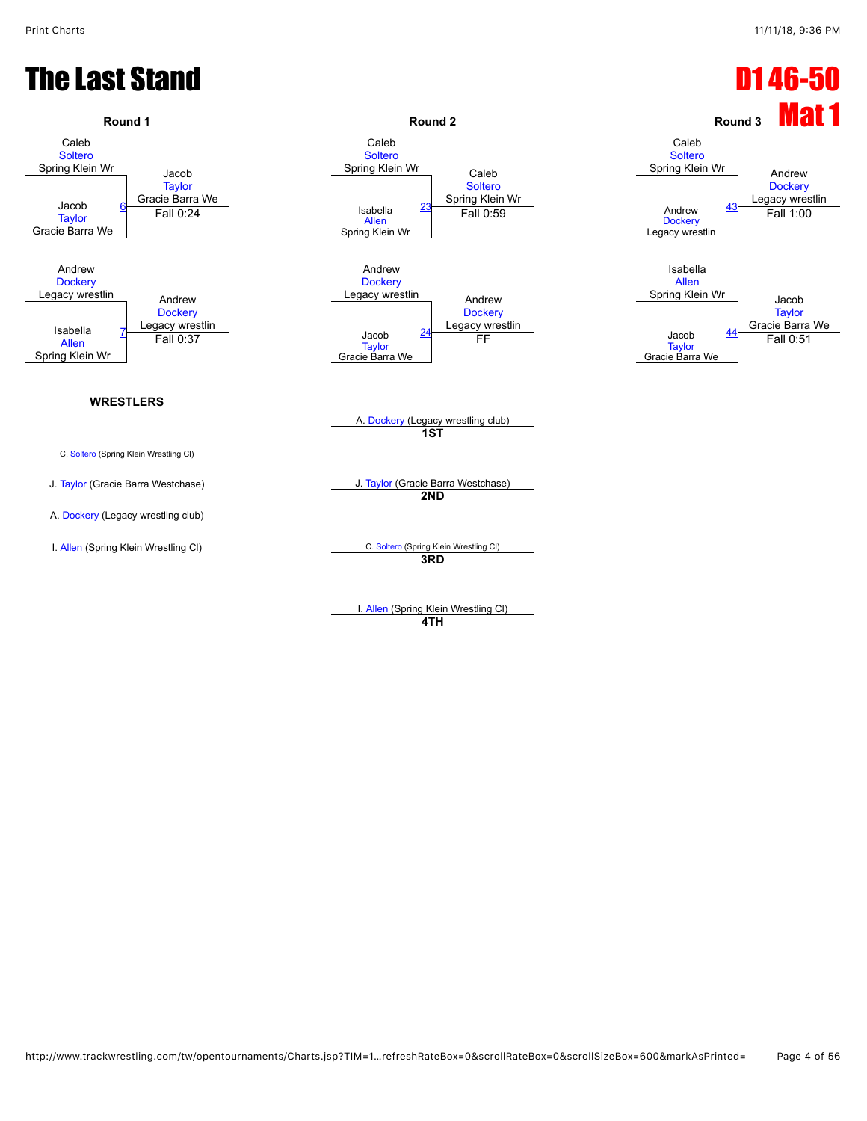

I. [Allen](javascript:viewProfile(896751132)) (Spring Klein Wrestling Cl) **4TH**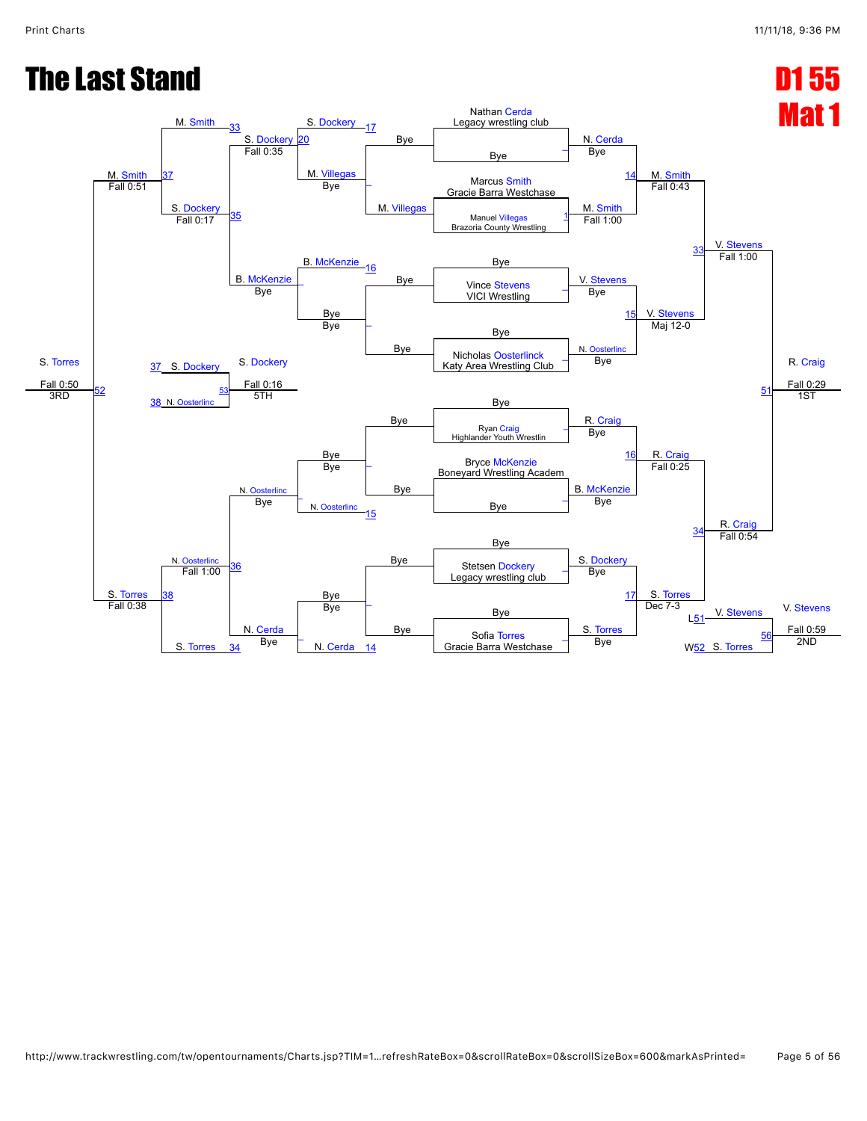#### **The Last Stand D1 55**

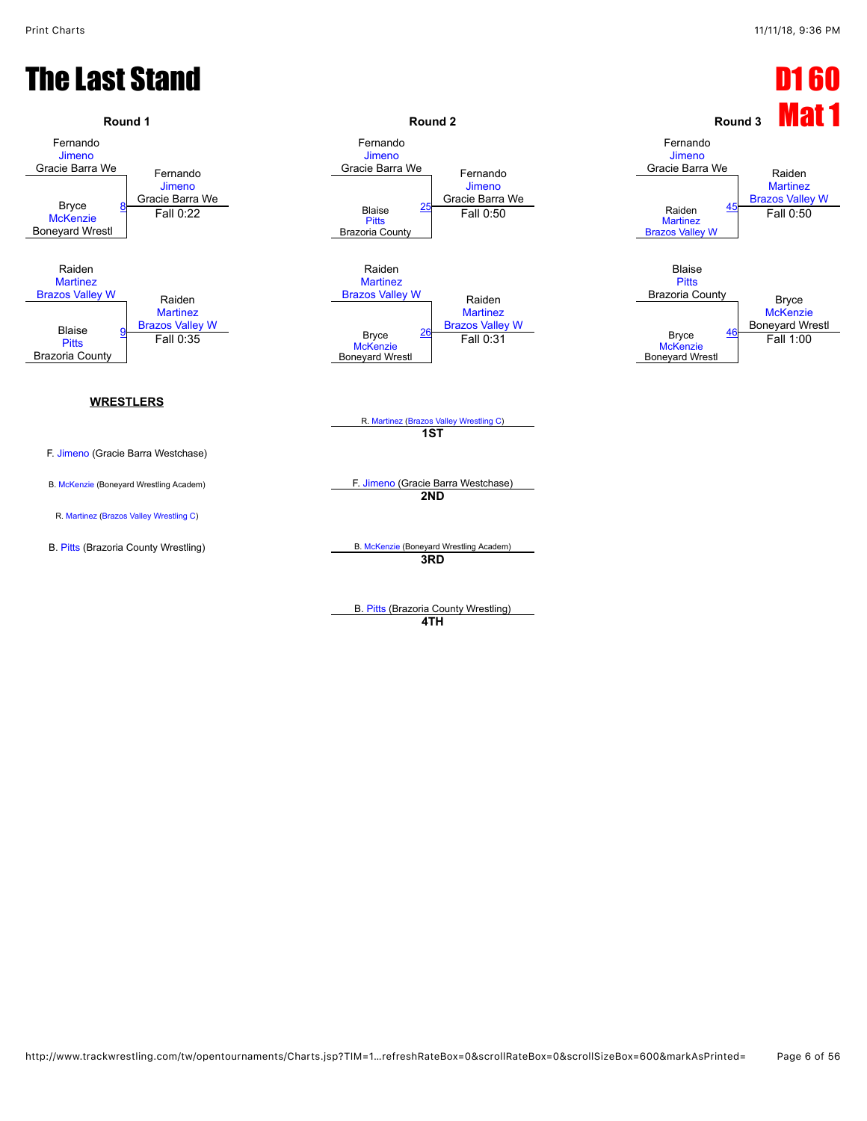#### **The Last Stand D1 60**



B. [Pitts](javascript:viewProfile(1778871096)) (Brazoria County Wrestling) **4TH**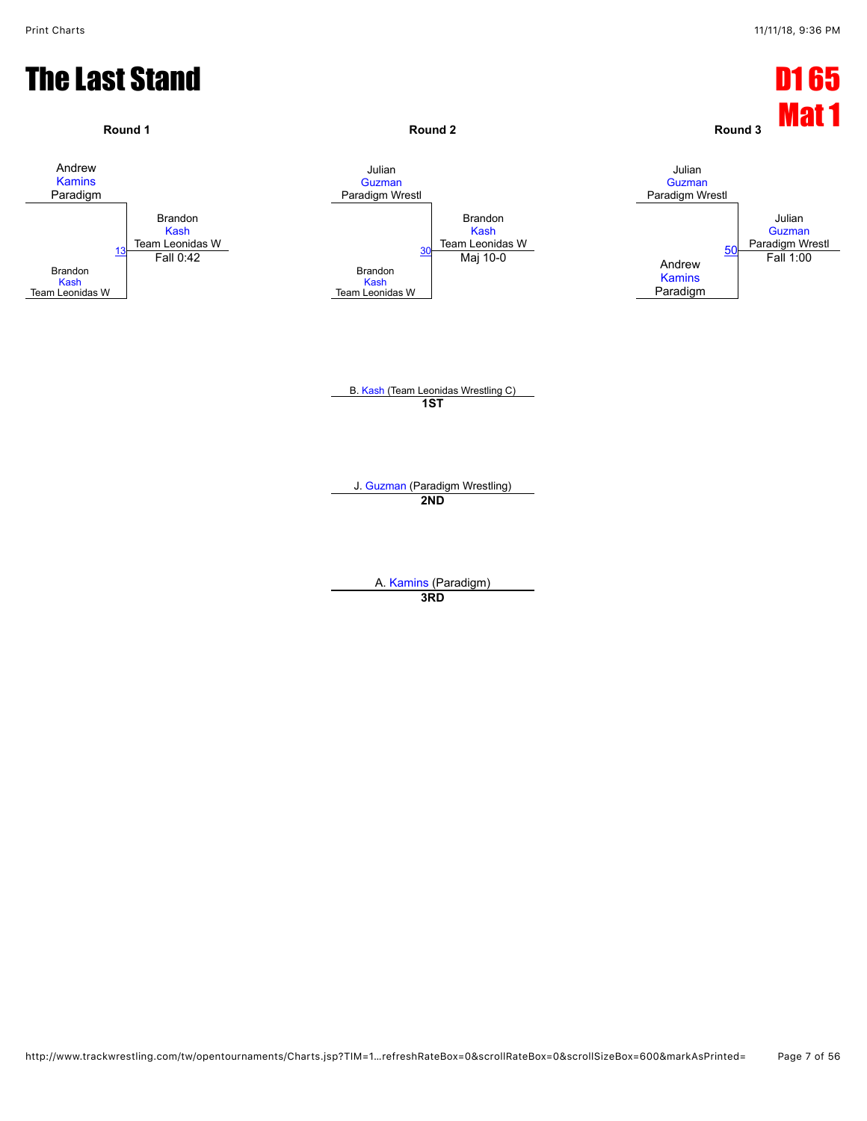![](_page_6_Figure_2.jpeg)

**3RD**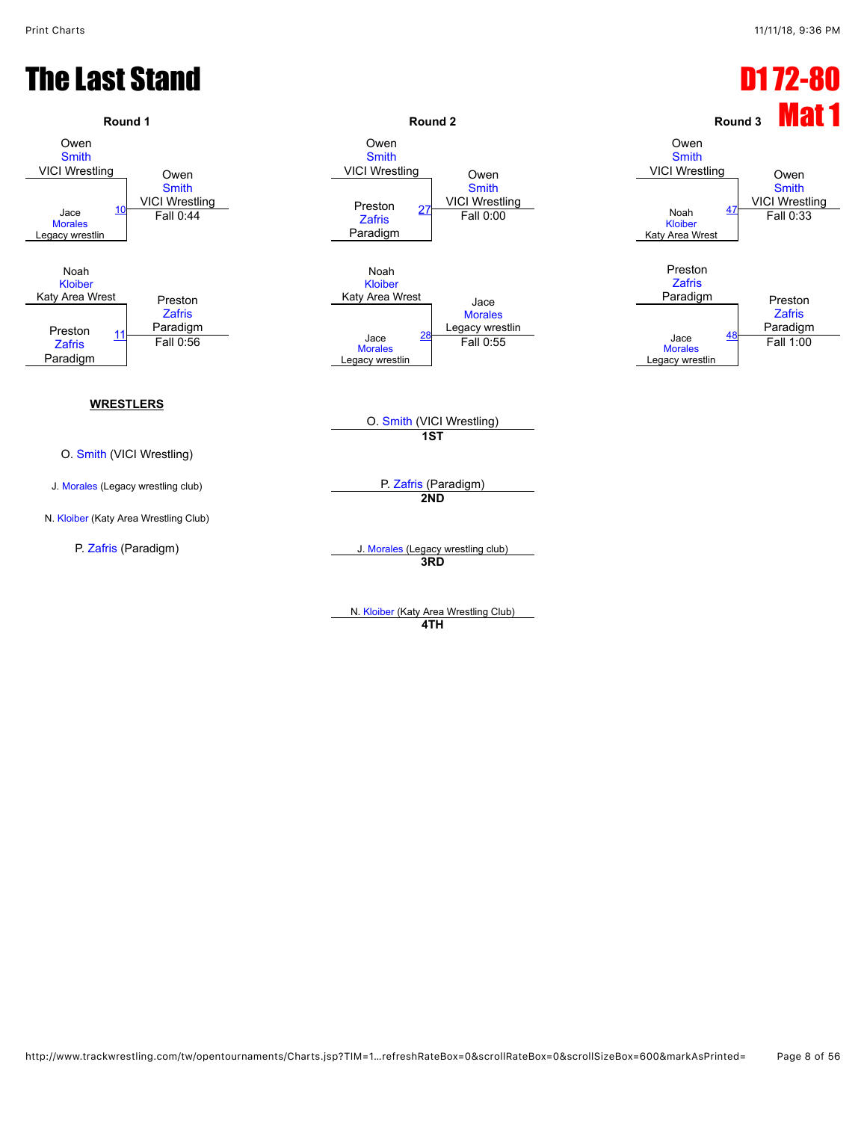![](_page_7_Figure_2.jpeg)

N. [Kloiber](javascript:viewProfile(1641629096)) (Katy Area Wrestling Club) **4TH**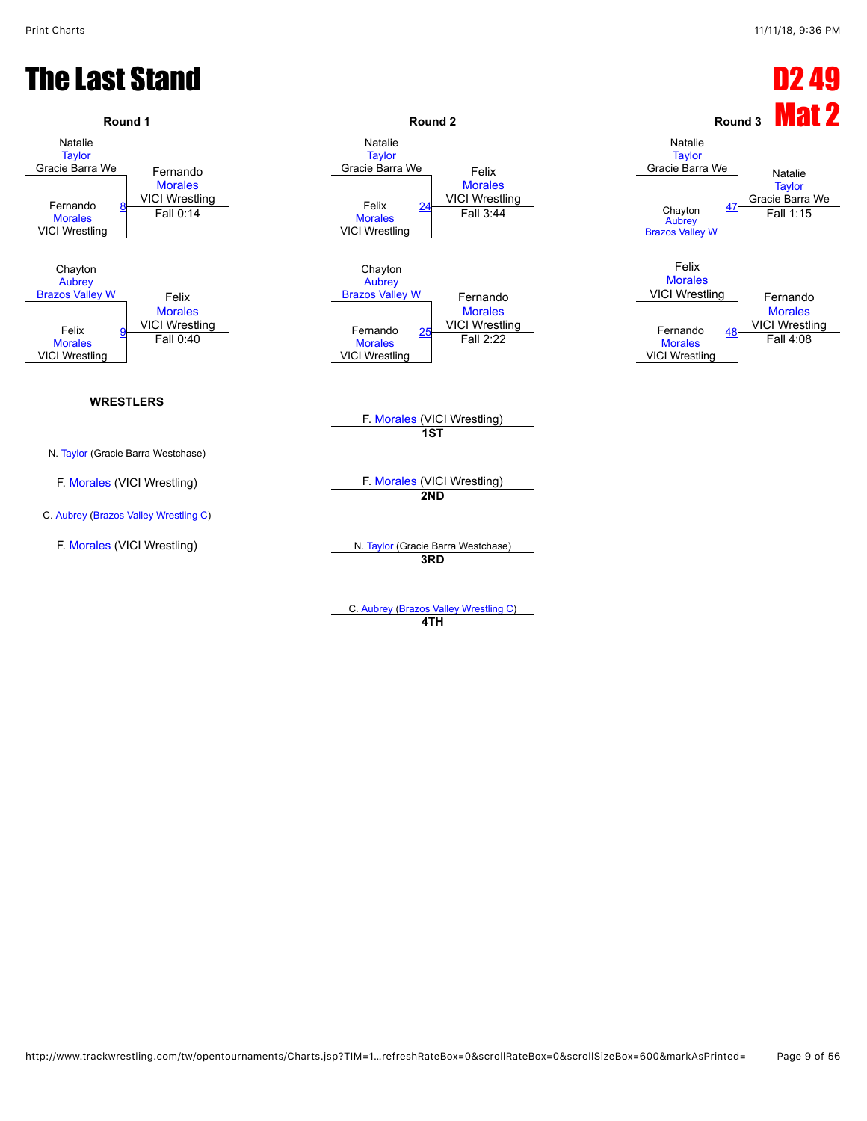#### The Last Stand D2 49

![](_page_8_Figure_3.jpeg)

C. [Aubrey](javascript:viewProfile(1803683096)) ([Brazos Valley Wrestling C\)](javascript:viewClub(16280009)) **4TH**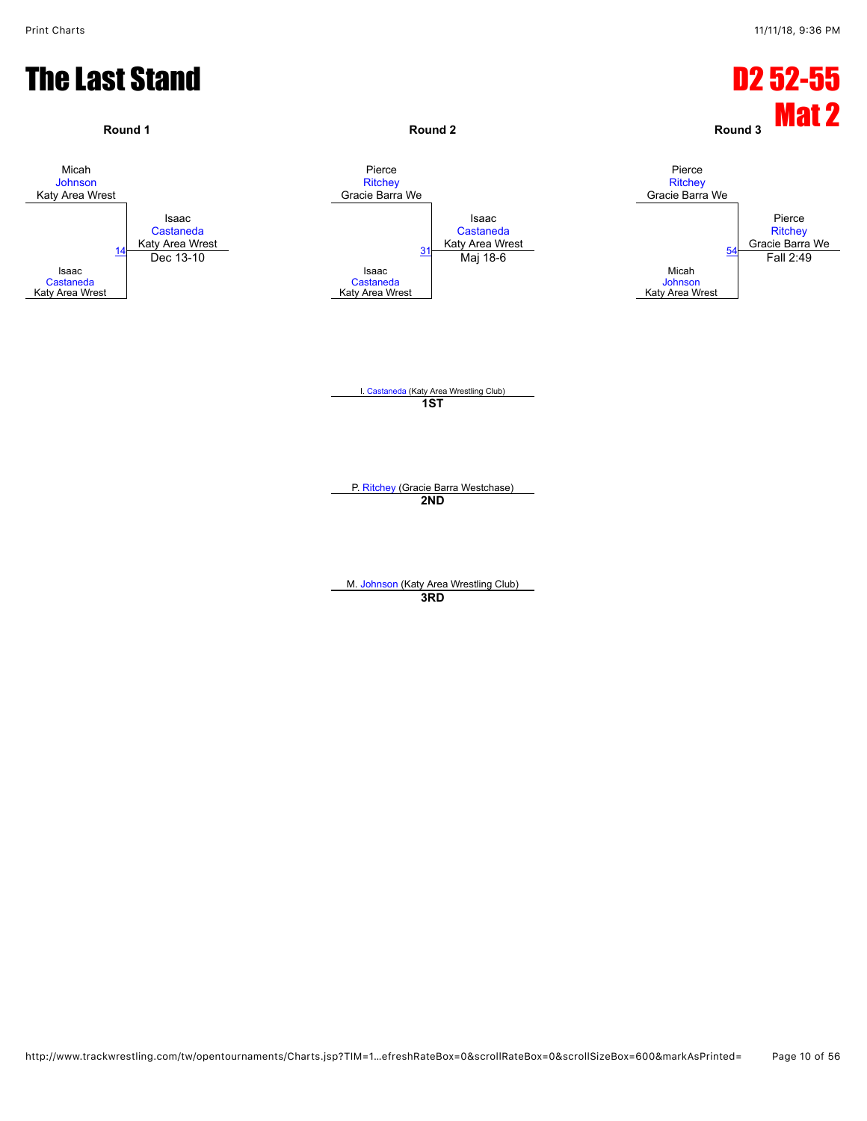![](_page_9_Figure_2.jpeg)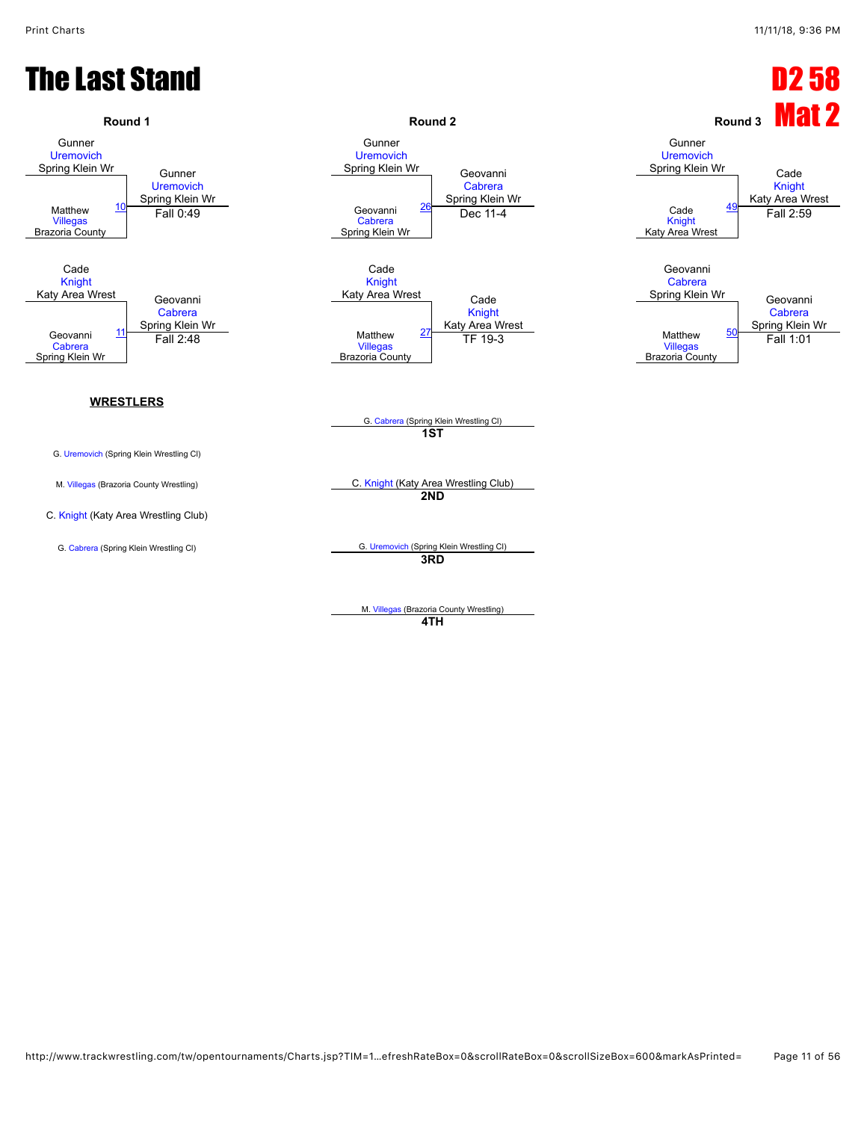#### The Last Stand D2 58

![](_page_10_Figure_3.jpeg)

M. [Villegas](javascript:viewProfile(1791042096)) (Brazoria County Wrestling) **4TH**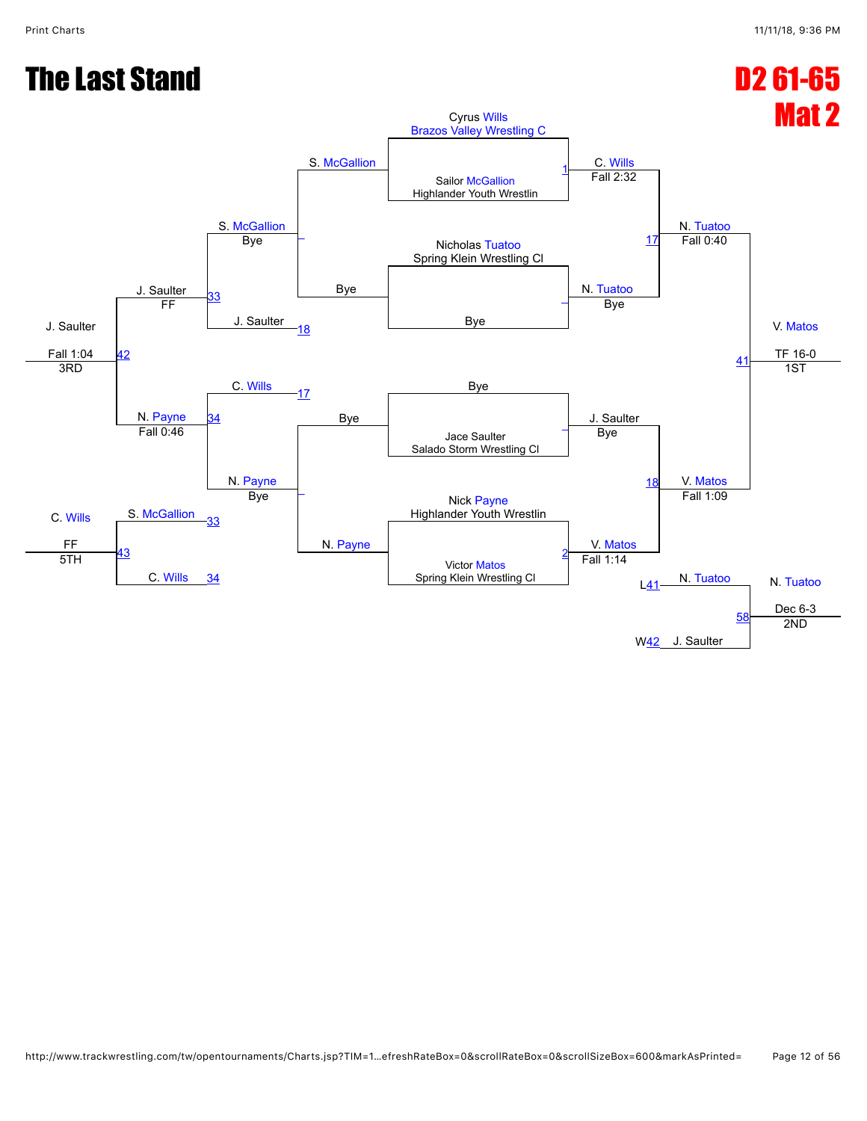![](_page_11_Figure_2.jpeg)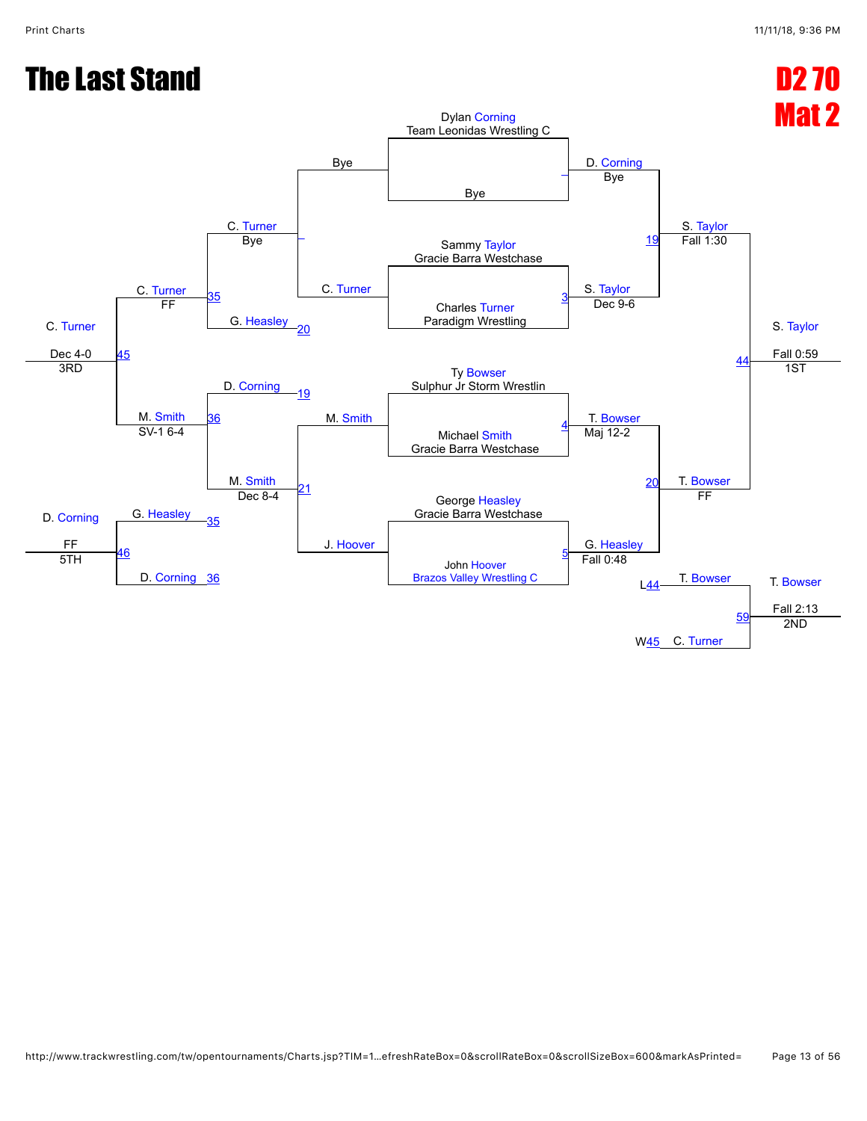#### The Last Stand D2 70 Mat 2 C. [Turner](javascript:viewProfile(1790686096)) Dec 4-0 C. [Turner](javascript:viewProfile(1790686096)) C. [Turner](javascript:viewProfile(1790686096)) Bye Dylan [Corning](javascript:viewProfile(581607096)) Team Leonidas Wrestling C D. [Corning](javascript:viewProfile(581607096)) S. [Taylor](javascript:viewProfile(1552820009)) S. [Taylor](javascript:viewProfile(1552820009)) Fall 0:59 Bye [\\_](javascript:openBoutSheet(1,)  $\overline{\phantom{a}}$ C. [Turner](javascript:viewProfile(1790686096)) Bye Sammy [Taylor](javascript:viewProfile(1552820009)) Gracie Barra Westchase Bye S. [Taylor](javascript:viewProfile(1552820009)) [19](javascript:openBoutSheet(5,) Fall 1:30 [35](javascript:openBoutSheet(9,) G. [Heasley](javascript:viewProfile(2199123)) Charles [Turner](javascript:viewProfile(1790686096)) Paradigm Wrestling [3](javascript:openBoutSheet(2,) [45](javascript:openBoutSheet(12,) FF [20](javascript:openBoutSheet(7,) Dec 9-6 [44](javascript:openBoutSheet(11,) D. [Corning](javascript:viewProfile(581607096)) Ty [Bowser](javascript:viewProfile(442440096)) Sulphur Jr Storm Wrestlin 3RD M. [Smith](javascript:viewProfile(1555901096)) [19](javascript:openBoutSheet(5,) M. [Smith](javascript:viewProfile(1555901096)) T. [Bowser](javascript:viewProfile(442440096)) 1ST [36](javascript:openBoutSheet(10,) Michael [Smith](javascript:viewProfile(1555901096)) Gracie Barra Westchase [4](javascript:openBoutSheet(3,) D. [Corning](javascript:viewProfile(581607096)) FF SV-1 6-4  $M.$  [Smith](javascript:viewProfile(1555901096))  $21$ J. [Hoover](javascript:viewProfile(1803756096)) Maj 12-2 [20](javascript:openBoutSheet(7,) T. [Bowser](javascript:viewProfile(442440096)) G. [Heasley](javascript:viewProfile(2199123)) George [Heasley](javascript:viewProfile(2199123)) Gracie Barra Westchase [35](javascript:openBoutSheet(9,) Dec 8-4 G. [Heasley](javascript:viewProfile(2199123)) FF  $\frac{46}{5}$  $\frac{46}{5}$  $\frac{46}{5}$ D. [Corning](javascript:viewProfile(581607096)) [36](javascript:openBoutSheet(10,) John [Hoover](javascript:viewProfile(1803756096)) [Brazos Valley Wrestling C](javascript:viewClub(16280009)) [5](javascript:openBoutSheet(4,) T. [Bowser](javascript:viewProfile(442440096)) T. Bowser Fall 2:13 5TH Fall 0:48 L[44](javascript:openBoutSheet(11,) W<u>45</u> C. [Turner](javascript:viewProfile(1790686096)) [59](javascript:openBoutSheet(14,) 2ND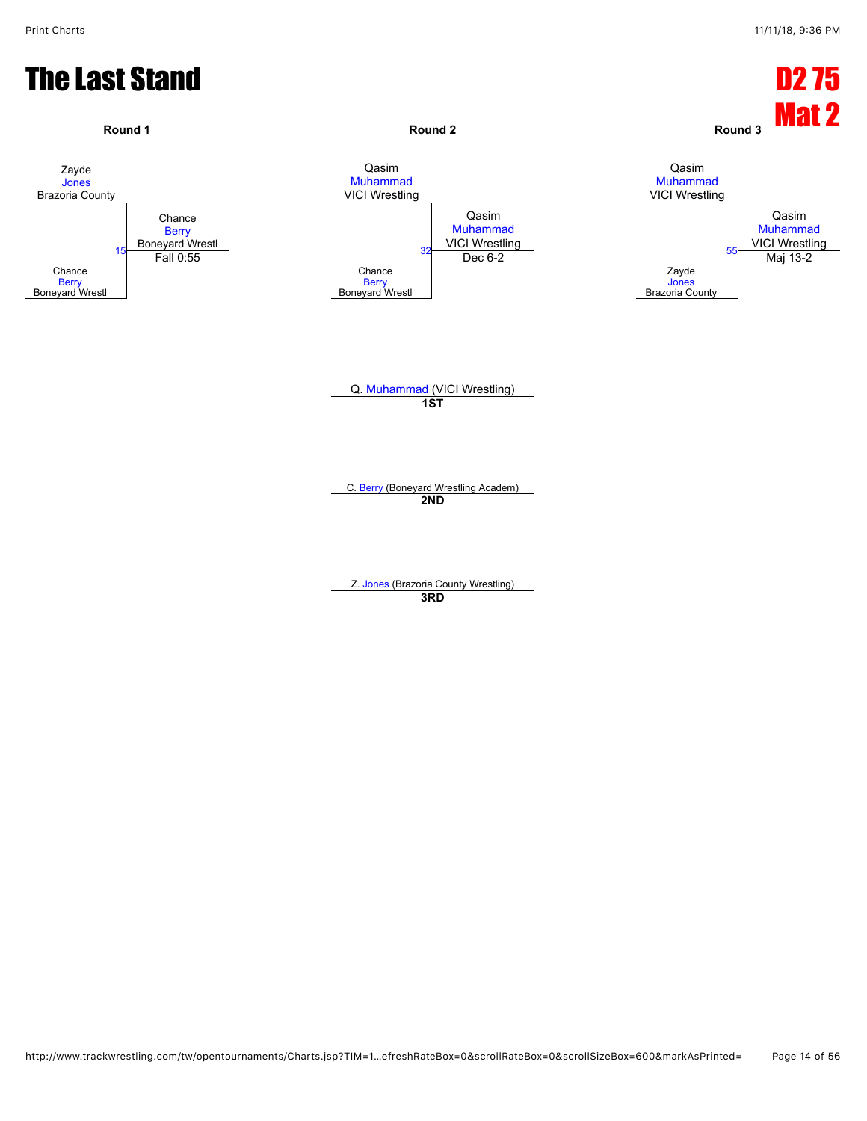![](_page_13_Figure_2.jpeg)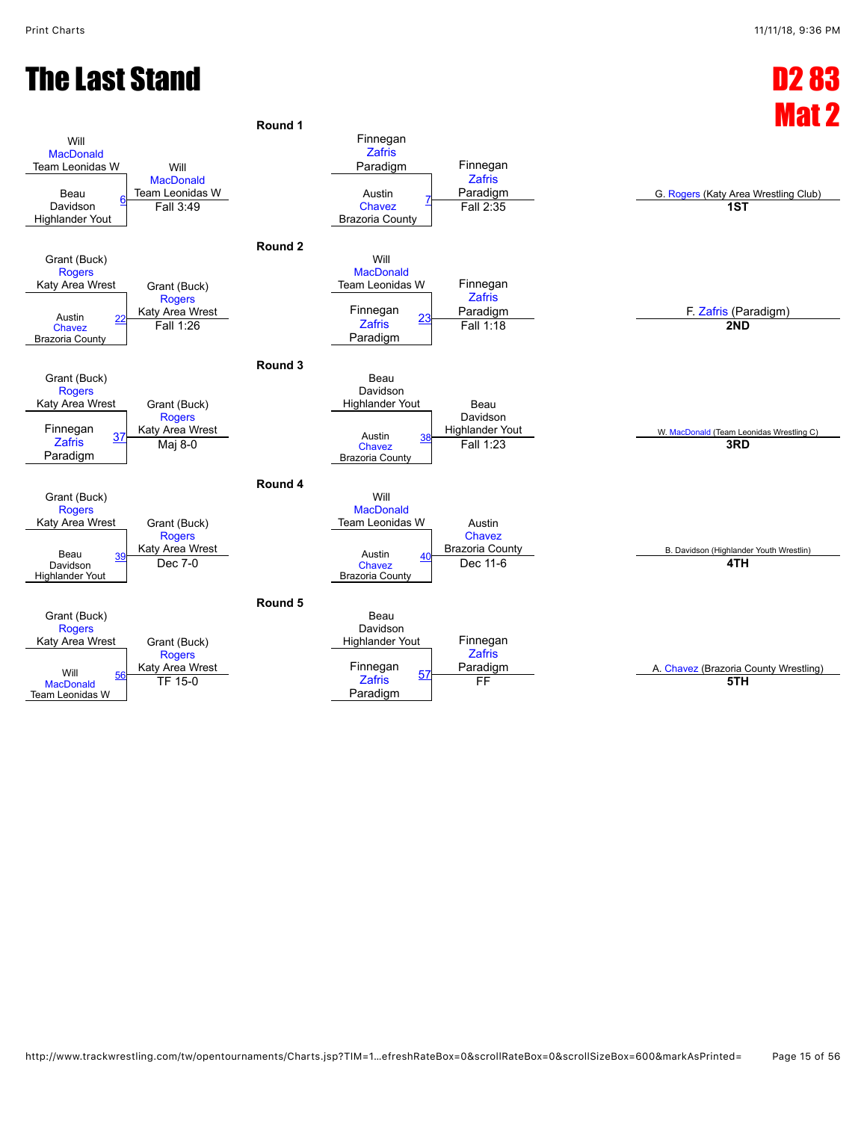#### The Last Stand D2 83

![](_page_14_Figure_2.jpeg)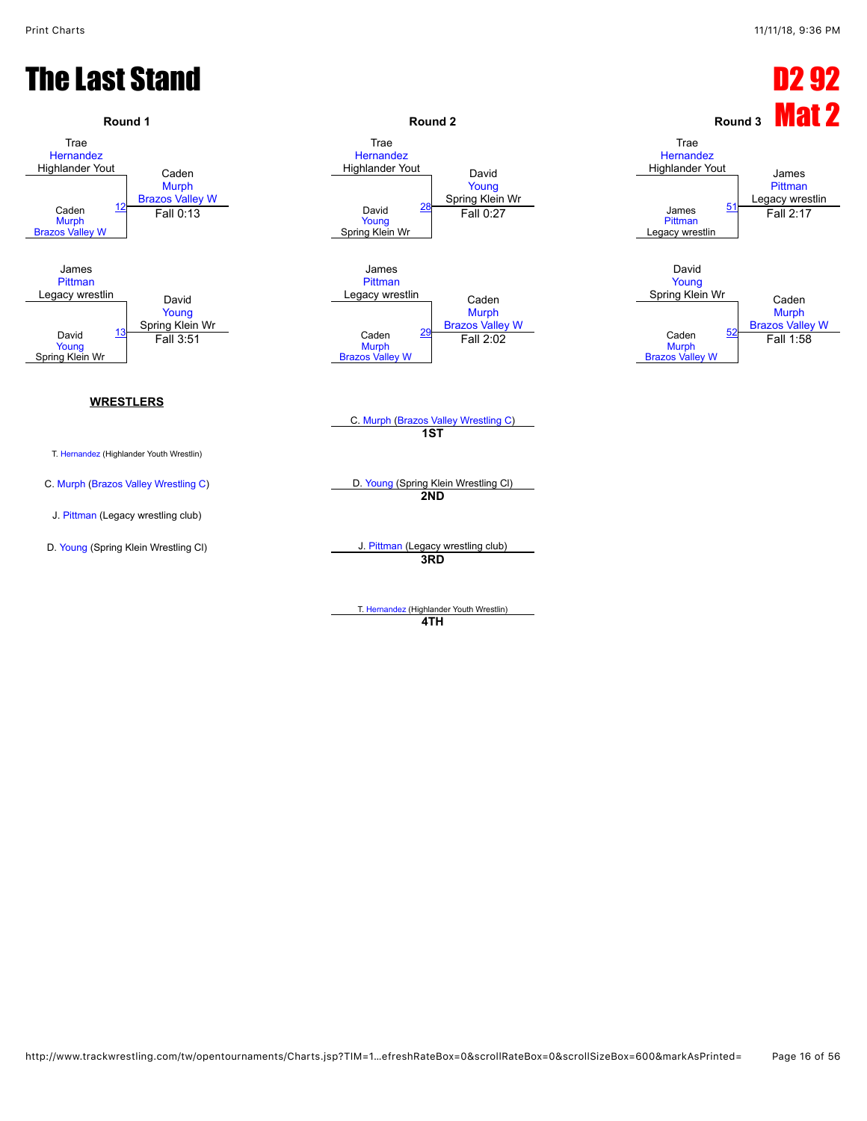#### The Last Stand D2 92

![](_page_15_Figure_3.jpeg)

**4TH**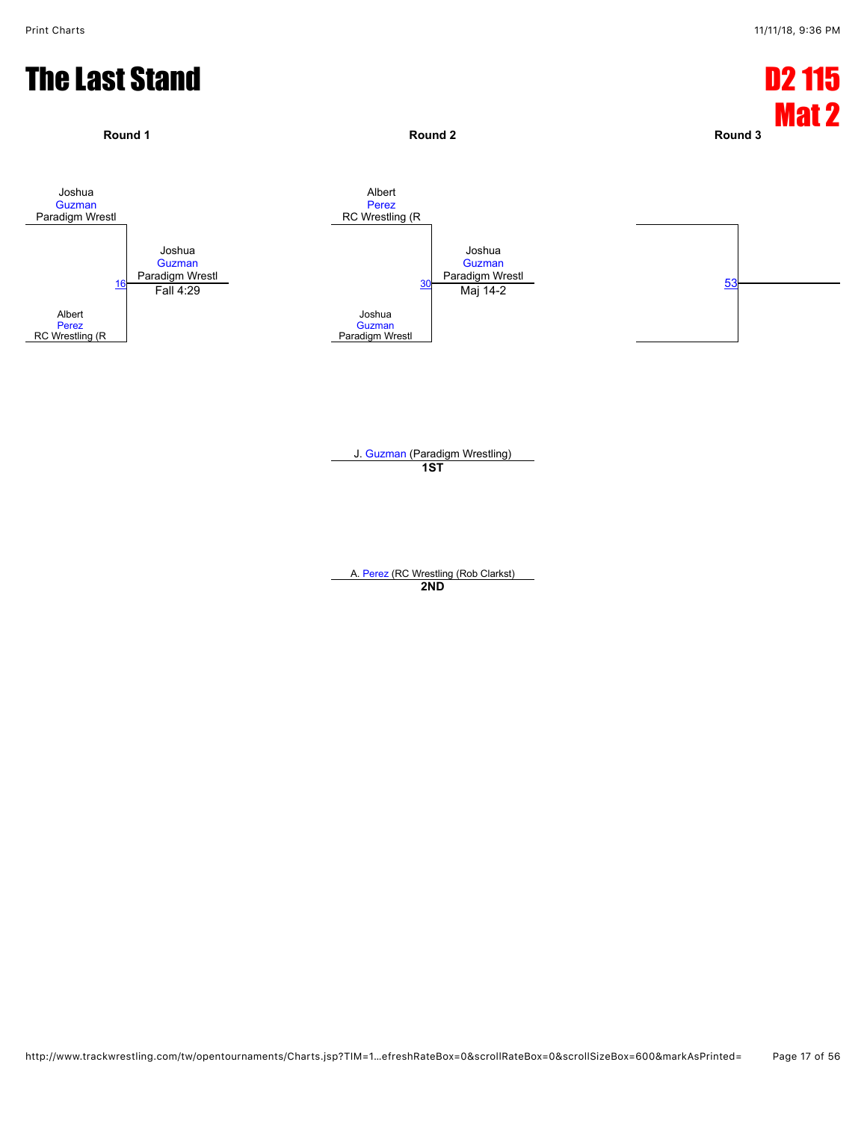![](_page_16_Figure_2.jpeg)

A. [Perez](javascript:viewProfile(920729132)) (RC Wrestling (Rob Clarkst) **2ND**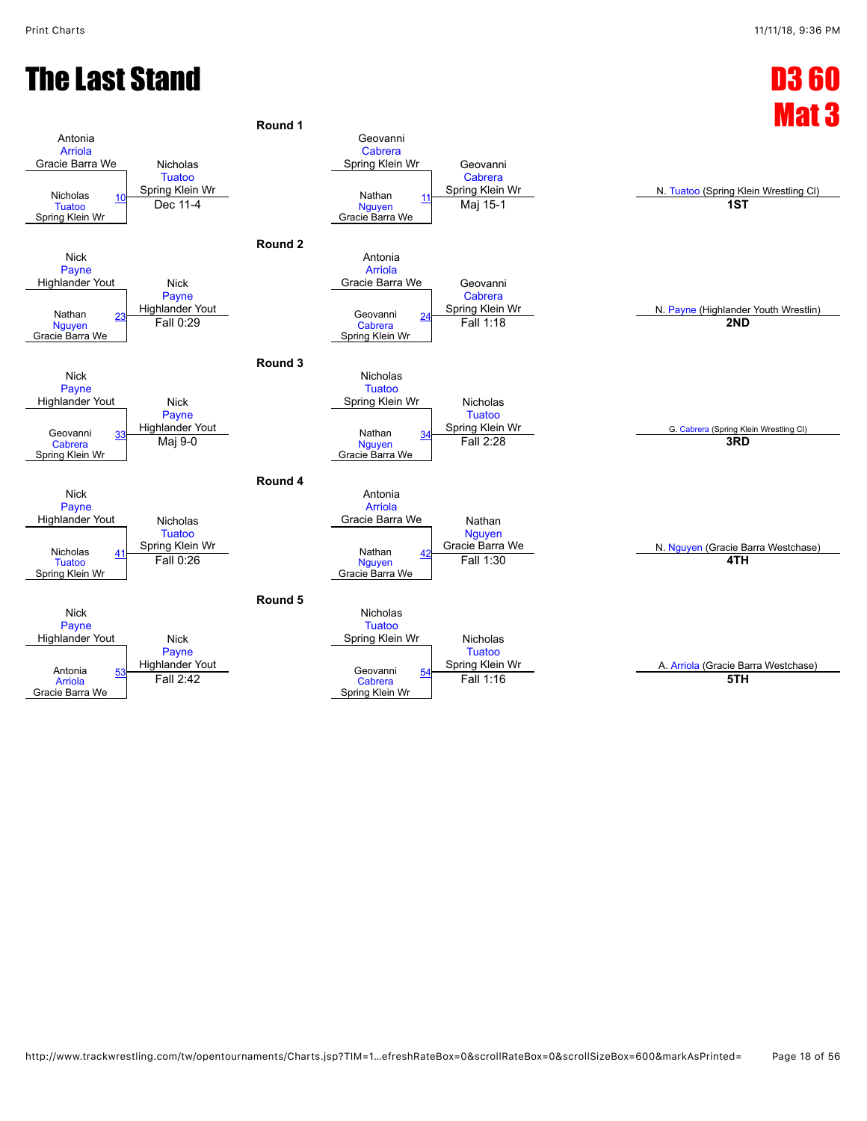#### **The Last Stand D3 60**

![](_page_17_Figure_3.jpeg)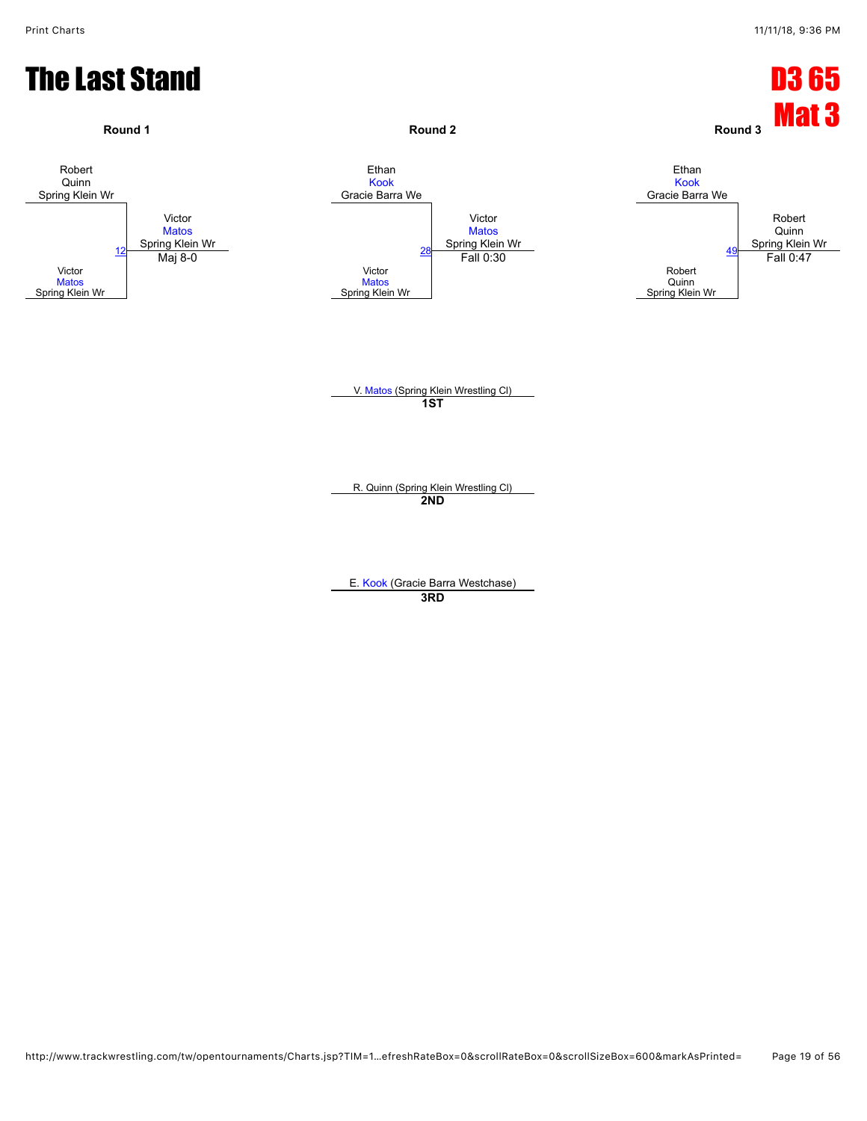![](_page_18_Figure_2.jpeg)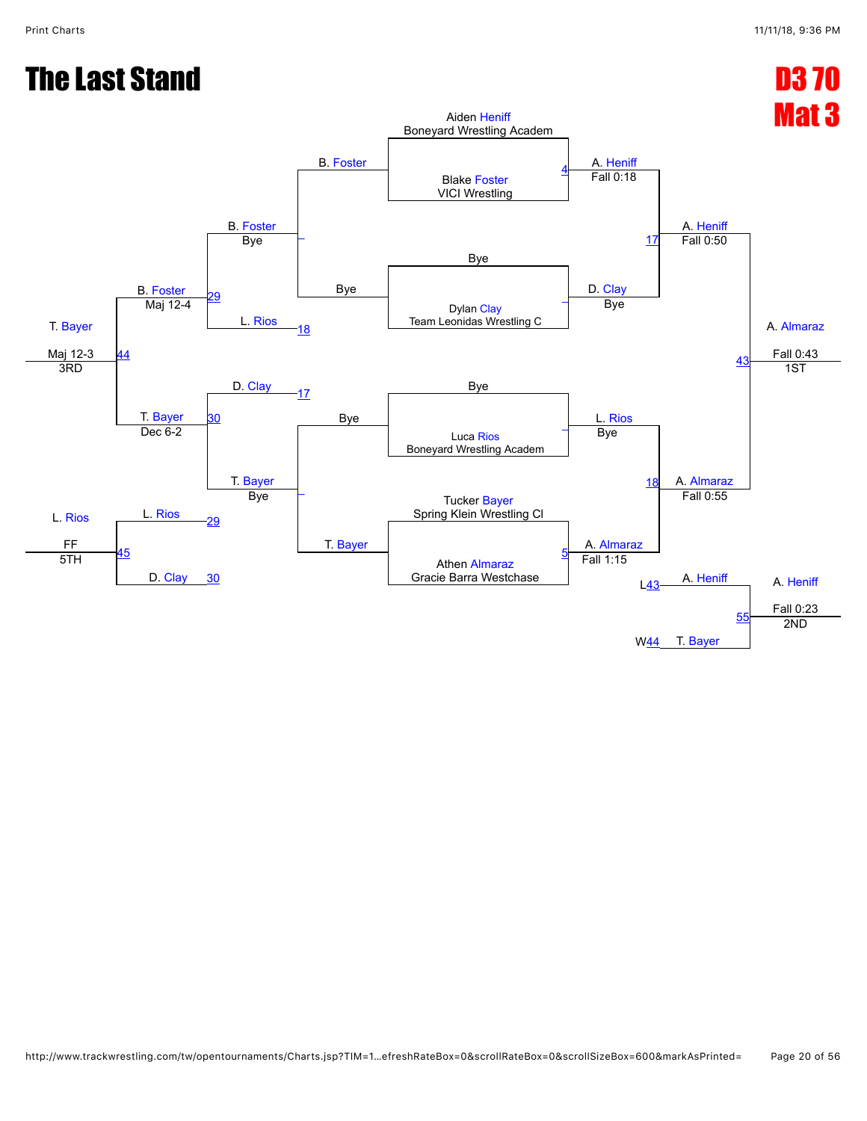#### **The Last Stand D3 70** Mat 3 T. [Bayer](javascript:viewProfile(1161512096)) Maj 12-3 B. [Foster](javascript:viewProfile(1553700096)) B. [Foster](javascript:viewProfile(1553700096)) B. [Foster](javascript:viewProfile(1553700096)) Aiden [Heniff](javascript:viewProfile(1167944096)) Boneyard Wrestling Academ A. [Heniff](javascript:viewProfile(1167944096)) A. [Heniff](javascript:viewProfile(1167944096)) A. [Almaraz](javascript:viewProfile(1892218096)) Fall 0:43 Blake [Foster](javascript:viewProfile(1553700096)) VICI Wrestling [4](javascript:openBoutSheet(1,)  $\overline{\phantom{a}}$ Bye Fall 0:18 Bye Bye D. [Clay](javascript:viewProfile(1035522009)) [17](javascript:openBoutSheet(5,) Fall 0:50 ١g L. [Rios](javascript:viewProfile(1560274009)) Dylan [Clay](javascript:viewProfile(1035522009)) Team Leonidas Wrestling C [\\_](javascript:openBoutSheet(2,) [44](javascript:openBoutSheet(12,) Maj 12-4 [18](javascript:openBoutSheet(7,) Bye [43](javascript:openBoutSheet(11,)  $D.$  [Clay](javascript:viewProfile(1035522009))  $A$   $7$  Bye 3RD T. [Bayer](javascript:viewProfile(1161512096)) [17](javascript:openBoutSheet(5,) Bye L. [Rios](javascript:viewProfile(1560274009)) 1ST [30](javascript:openBoutSheet(10,) Luca [Rios](javascript:viewProfile(1560274009)) Boneyard Wrestling Academ [\\_](javascript:openBoutSheet(3,) L. [Rios](javascript:viewProfile(1560274009)) FF Dec 6-2 T. [Bayer](javascript:viewProfile(1161512096)) [\\_](javascript:openBoutSheet(8,) T. [Bayer](javascript:viewProfile(1161512096)) Bye [18](javascript:openBoutSheet(7,) A. [Almaraz](javascript:viewProfile(1892218096)) L. [Rios](javascript:viewProfile(1560274009)) Tucker [Bayer](javascript:viewProfile(1161512096)) **Spring Klein Wrestling Cl** [29](javascript:openBoutSheet(9,) Bye A. [Almaraz](javascript:viewProfile(1892218096)) Fall 0:55 [45](javascript:openBoutSheet(13,) D. [Clay](javascript:viewProfile(1035522009)) Athen [Almaraz](javascript:viewProfile(1892218096)) Gracie Barra Westchase [5](javascript:openBoutSheet(4,) A. [Heniff](javascript:viewProfile(1167944096)) A. Heniff Fall 0:23 5TH [30](javascript:openBoutSheet(10,) Fall 1:15  $L<sub>43</sub>$  $L<sub>43</sub>$  $L<sub>43</sub>$ T. [Bayer](javascript:viewProfile(1161512096)) [55](javascript:openBoutSheet(14,) W[44](javascript:openBoutSheet(12,) 2ND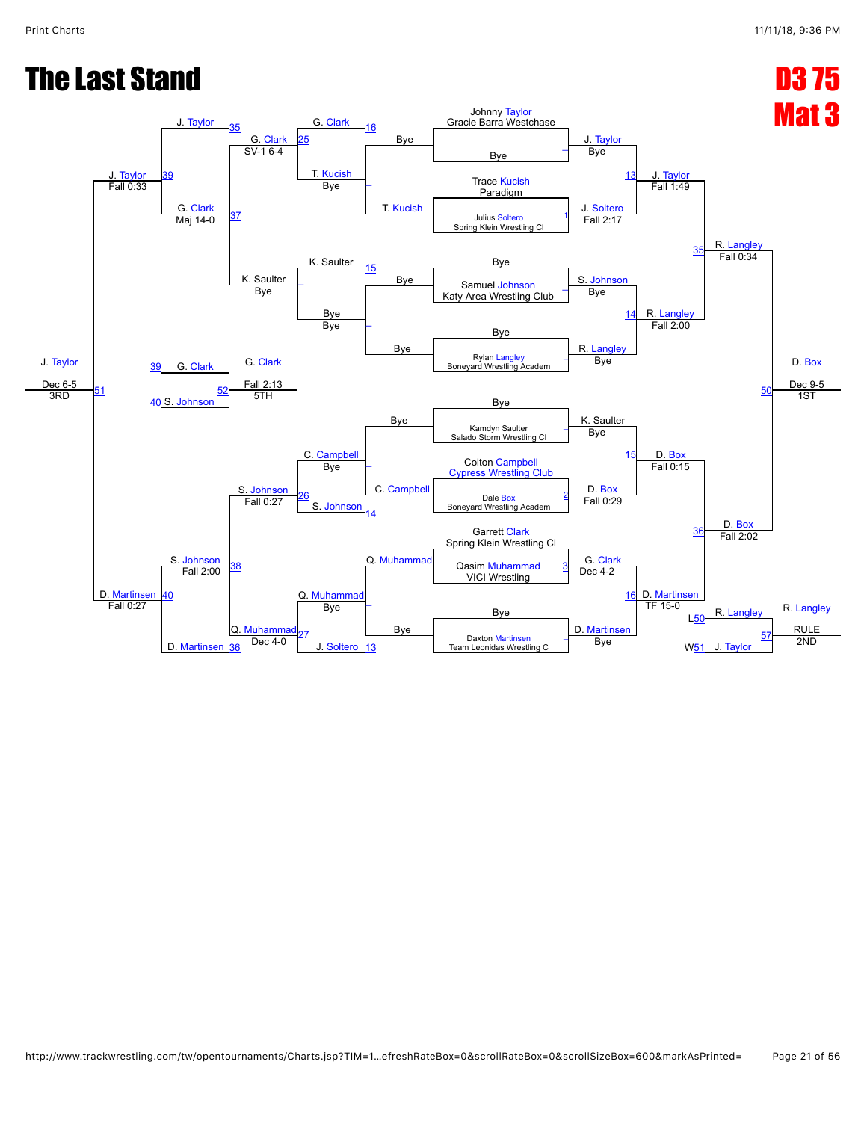#### The Last Stand D3 75

![](_page_20_Figure_3.jpeg)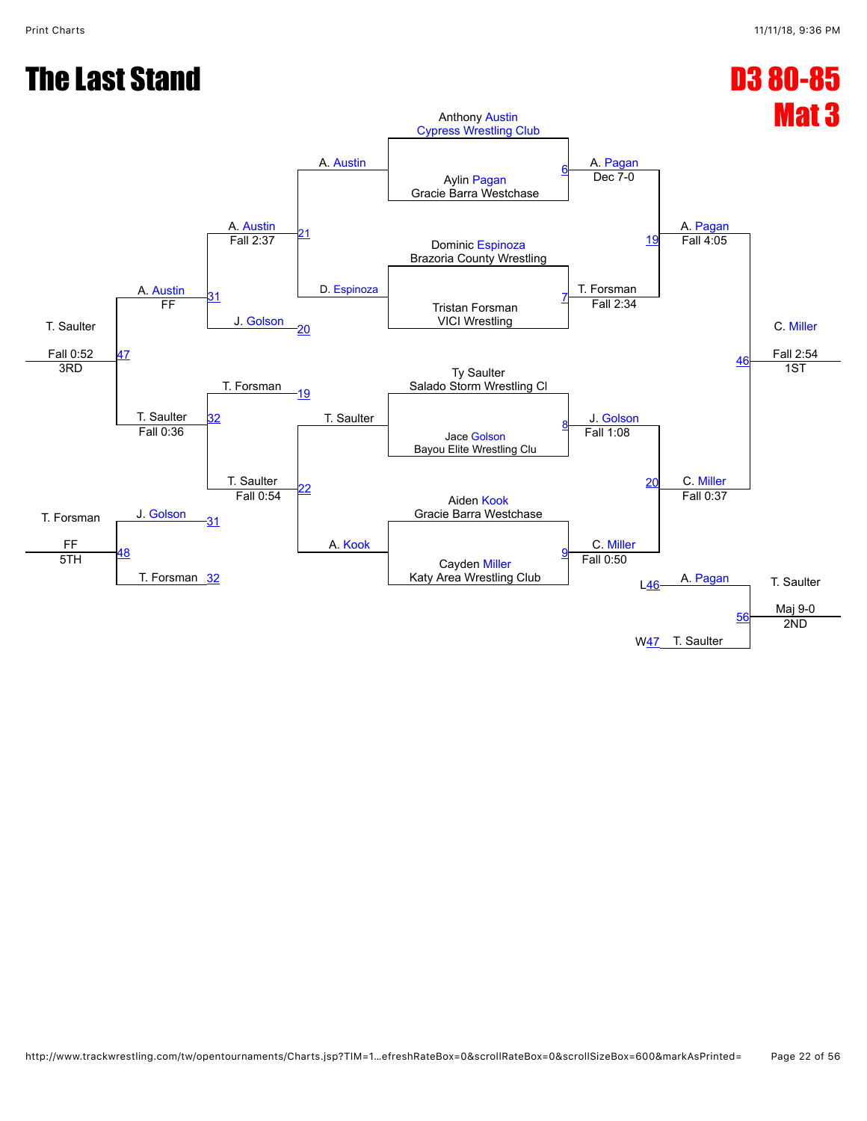![](_page_21_Figure_2.jpeg)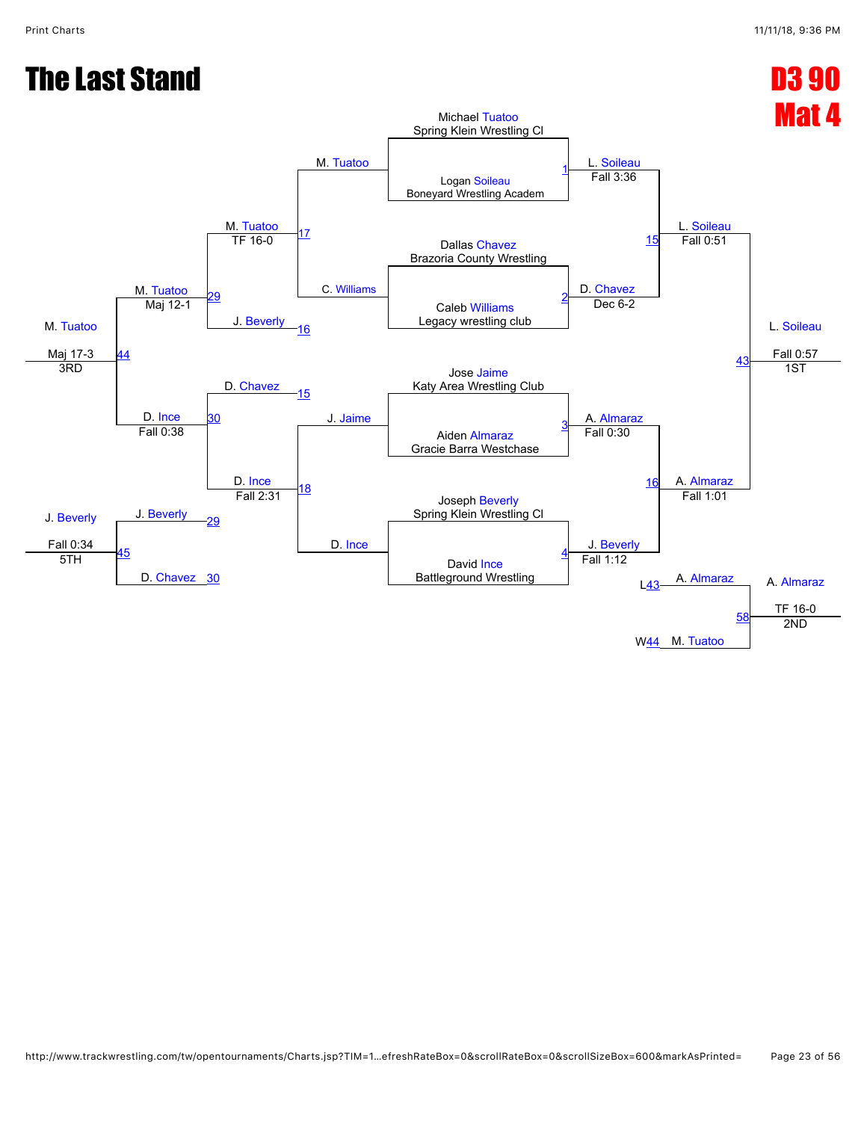![](_page_22_Figure_2.jpeg)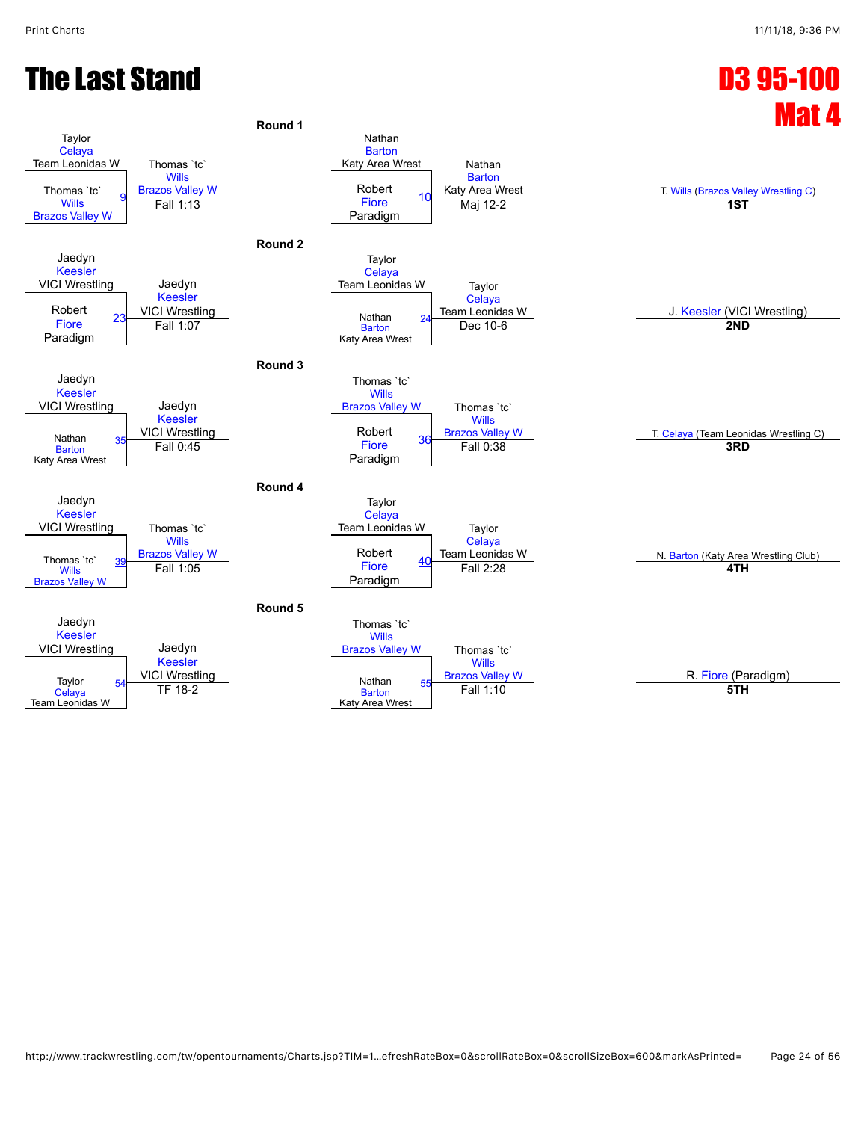#### The Last Stand D3 95-100

![](_page_23_Figure_2.jpeg)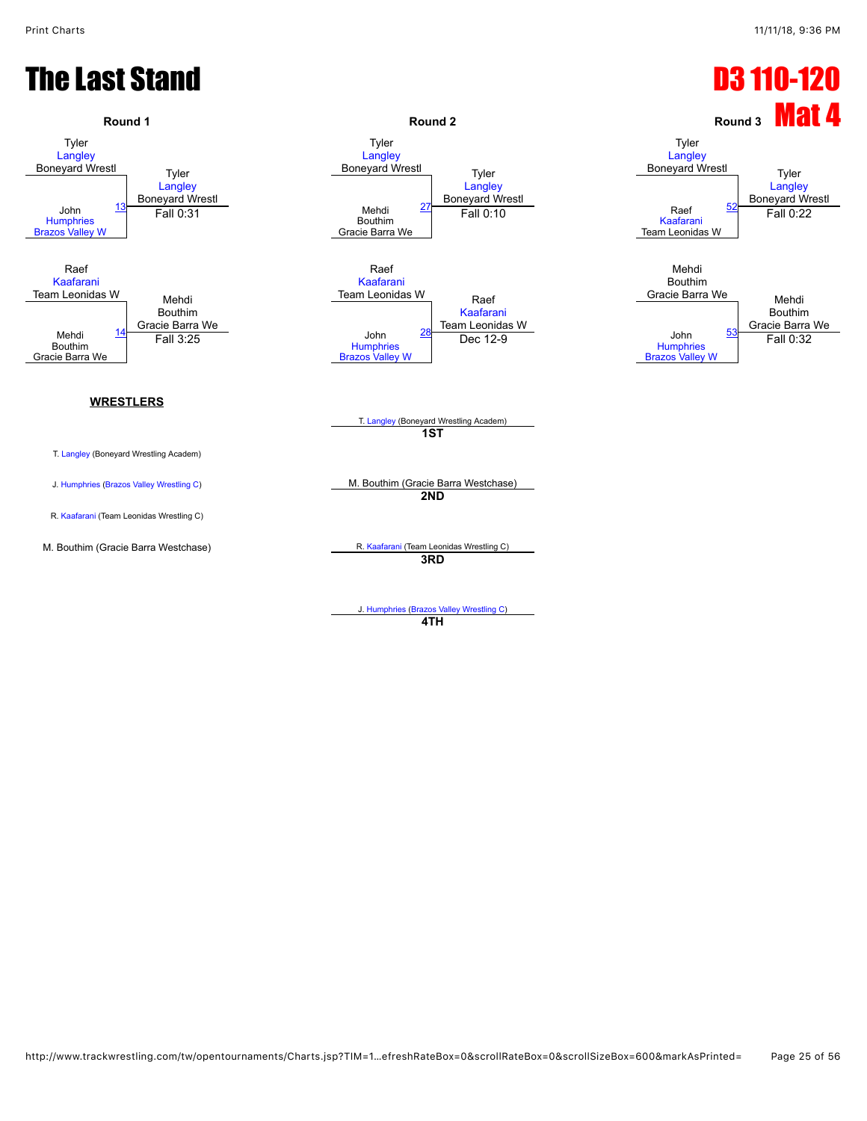![](_page_24_Figure_2.jpeg)

J. [Humphries](javascript:viewProfile(37457096)) [\(Brazos Valley Wrestling C](javascript:viewClub(16280009))) **4TH**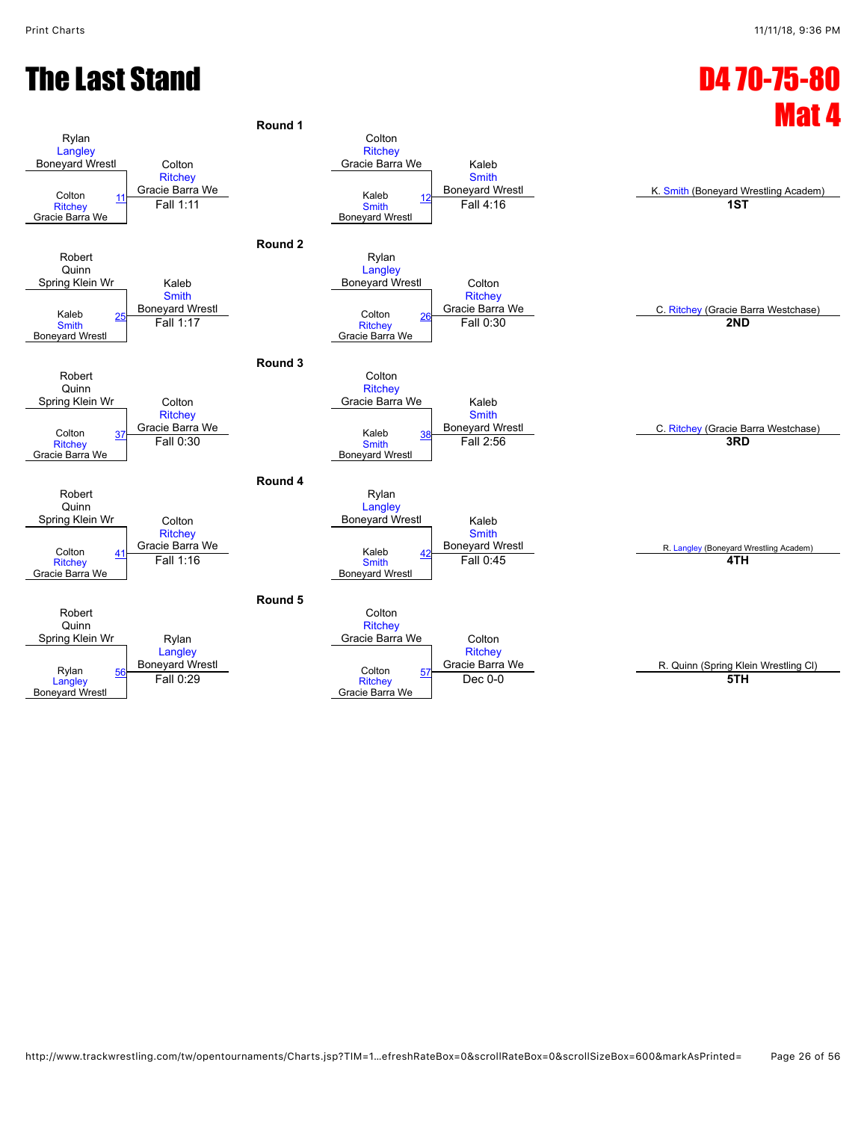#### The Last Stand D4 70-75-80

![](_page_25_Figure_3.jpeg)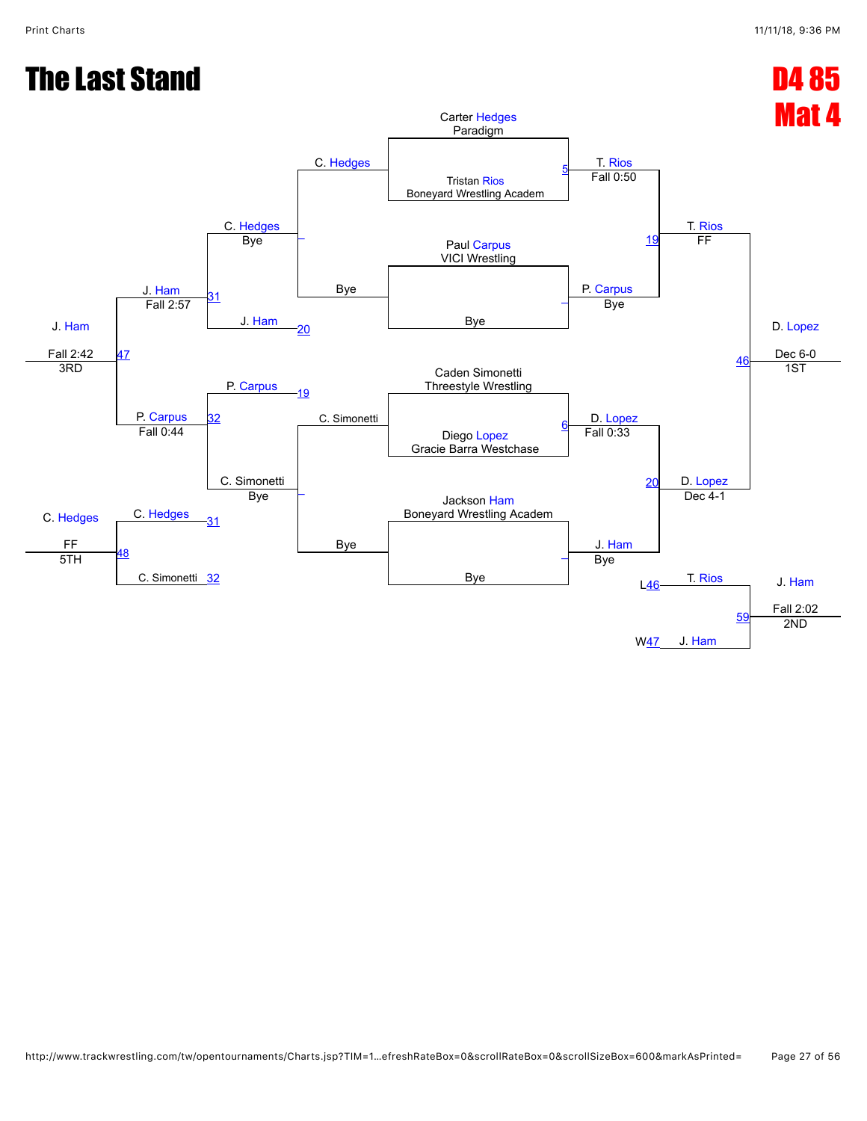![](_page_26_Figure_2.jpeg)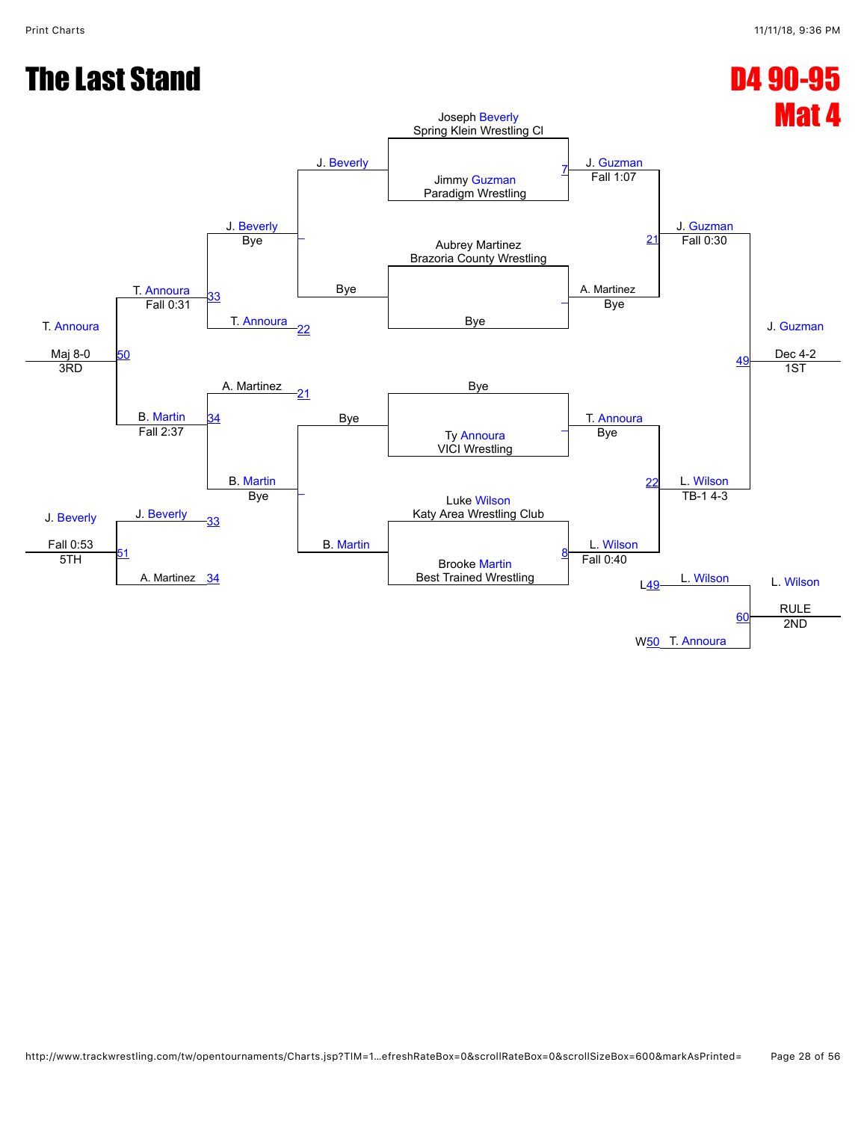#### Print Charts 11/11/18, 9:36 PM

#### The Last Stand D4 90-95

![](_page_27_Figure_3.jpeg)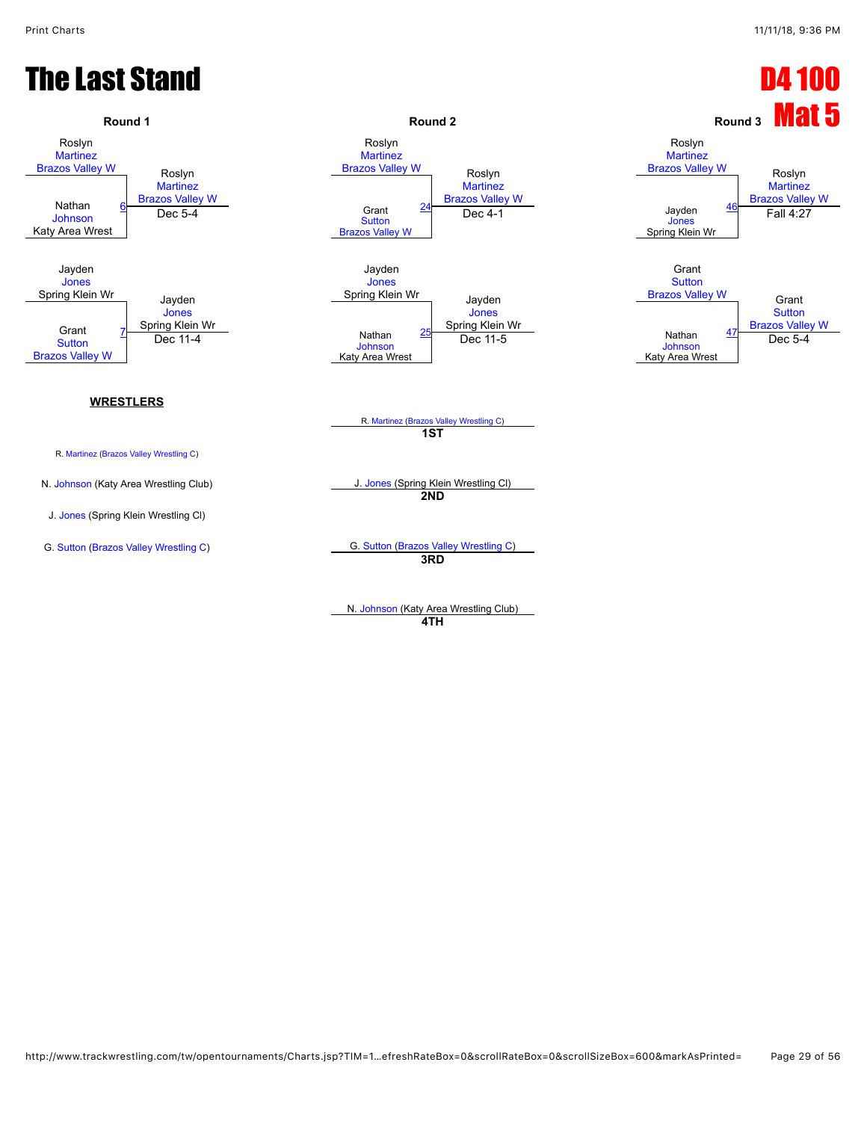#### **The Last Stand D4 100 Except of the United Stands of the United Stands of the D4 100**

![](_page_28_Figure_3.jpeg)

**4TH**

http://www.trackwrestling.com/tw/opentournaments/Charts.jsp?TIM=1…efreshRateBox=0&scrollRateBox=0&scrollSizeBox=600&markAsPrinted= Page 29 of 56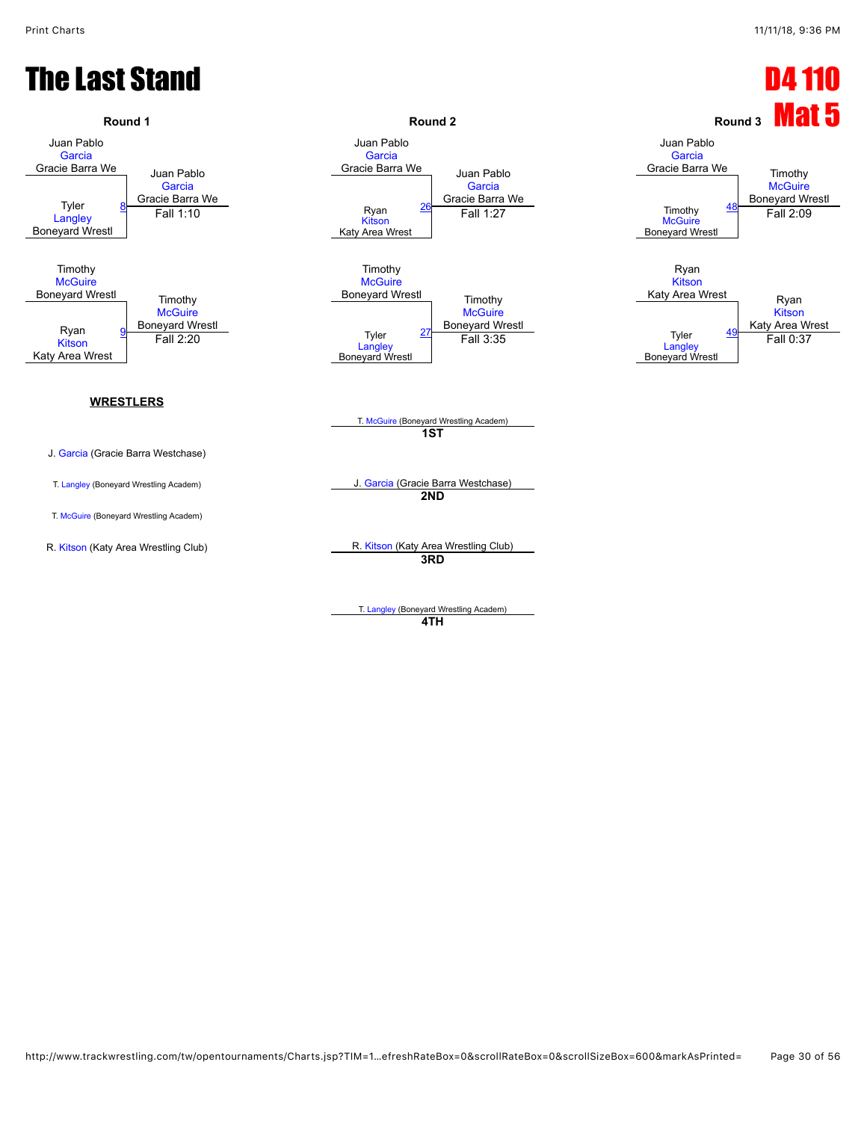#### **The Last Stand D4 110**

![](_page_29_Figure_3.jpeg)

T. [Langley](javascript:viewProfile(545826096)) (Boneyard Wrestling Academ) **4TH**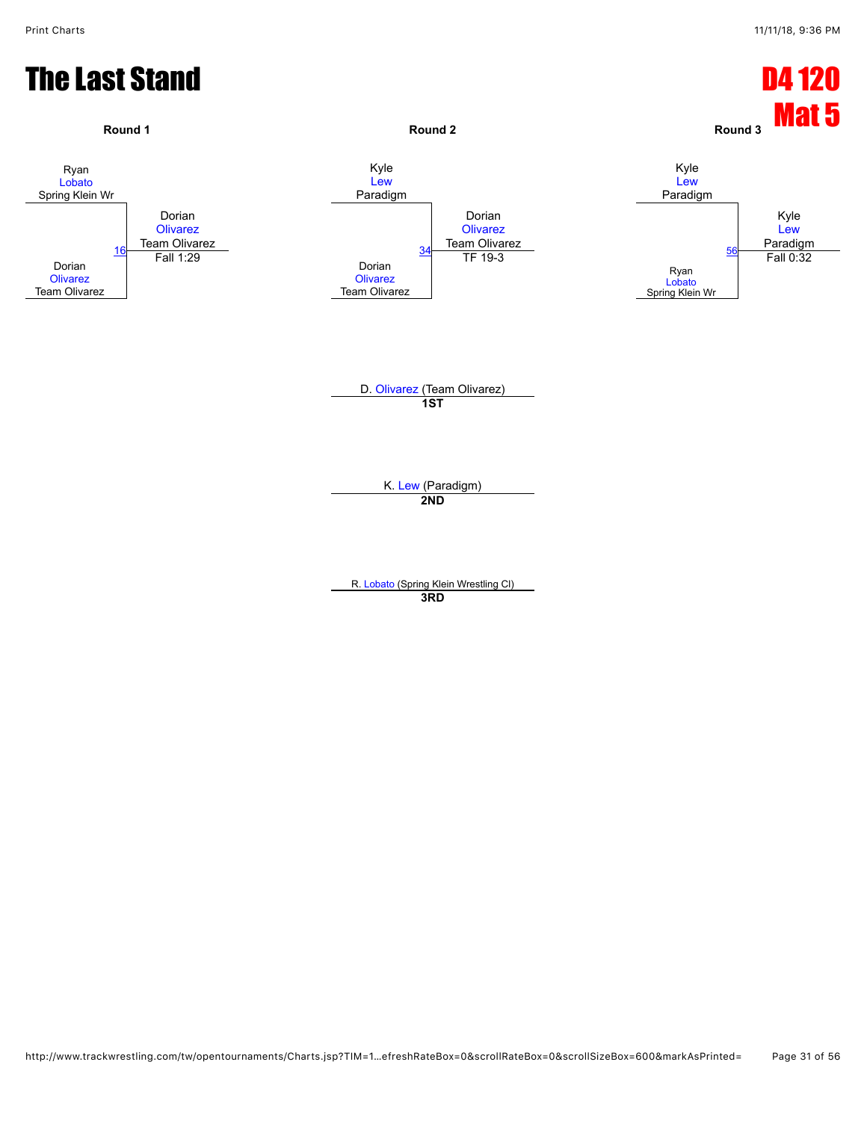![](_page_30_Figure_2.jpeg)

**3RD**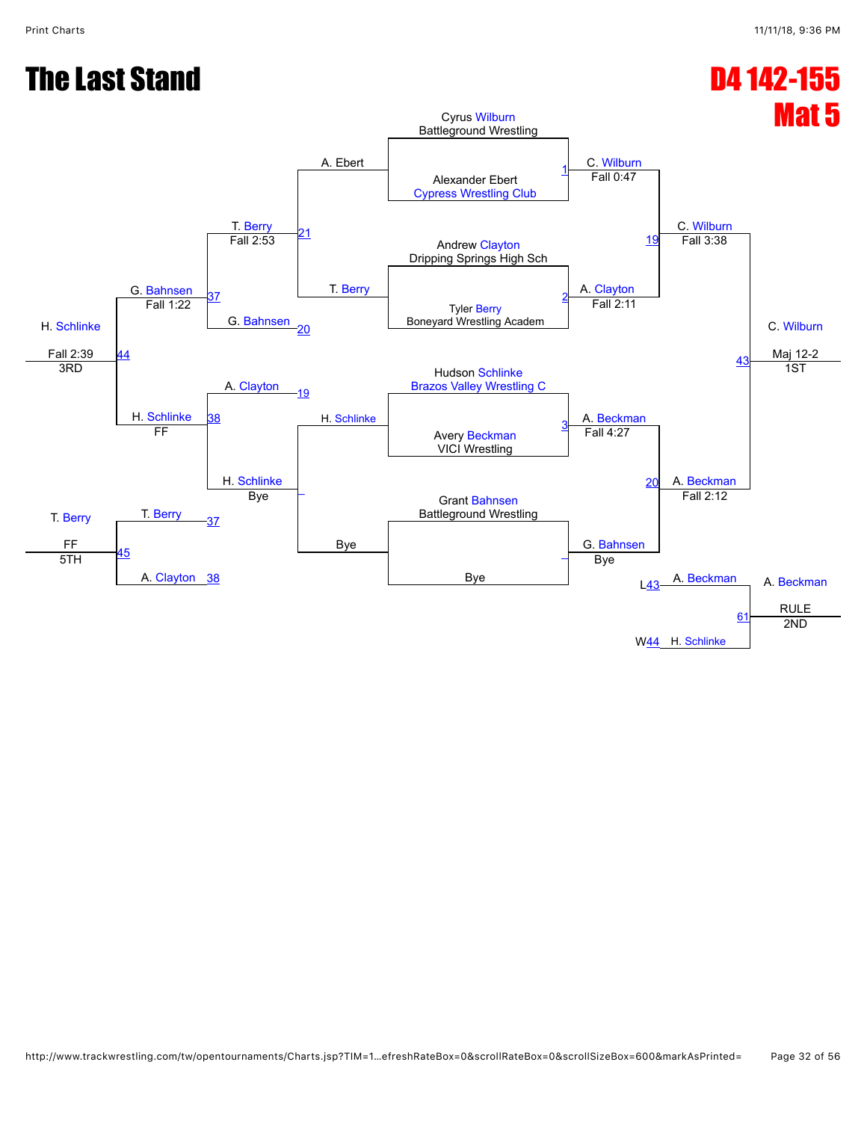#### The Last Stand D4 142-155

![](_page_31_Figure_3.jpeg)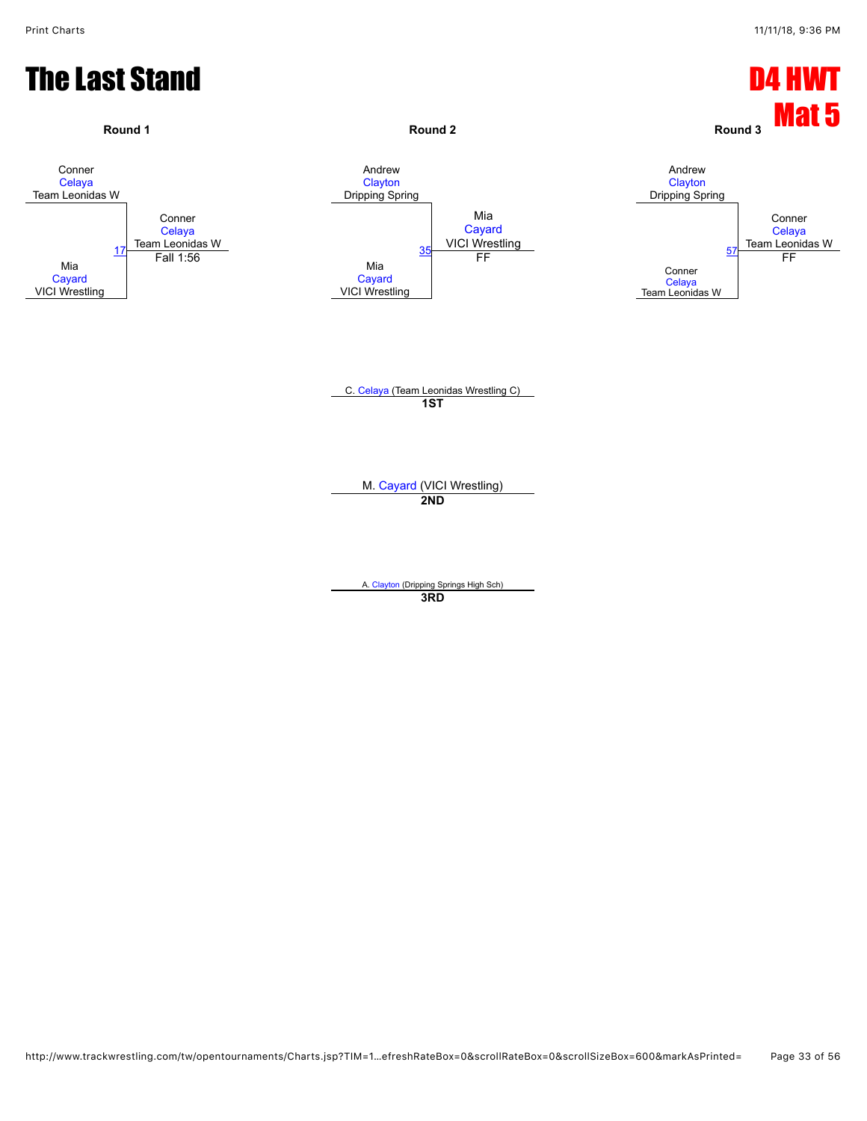![](_page_32_Figure_2.jpeg)

**3RD**

http://www.trackwrestling.com/tw/opentournaments/Charts.jsp?TIM=1…efreshRateBox=0&scrollRateBox=0&scrollSizeBox=600&markAsPrinted= Page 33 of 56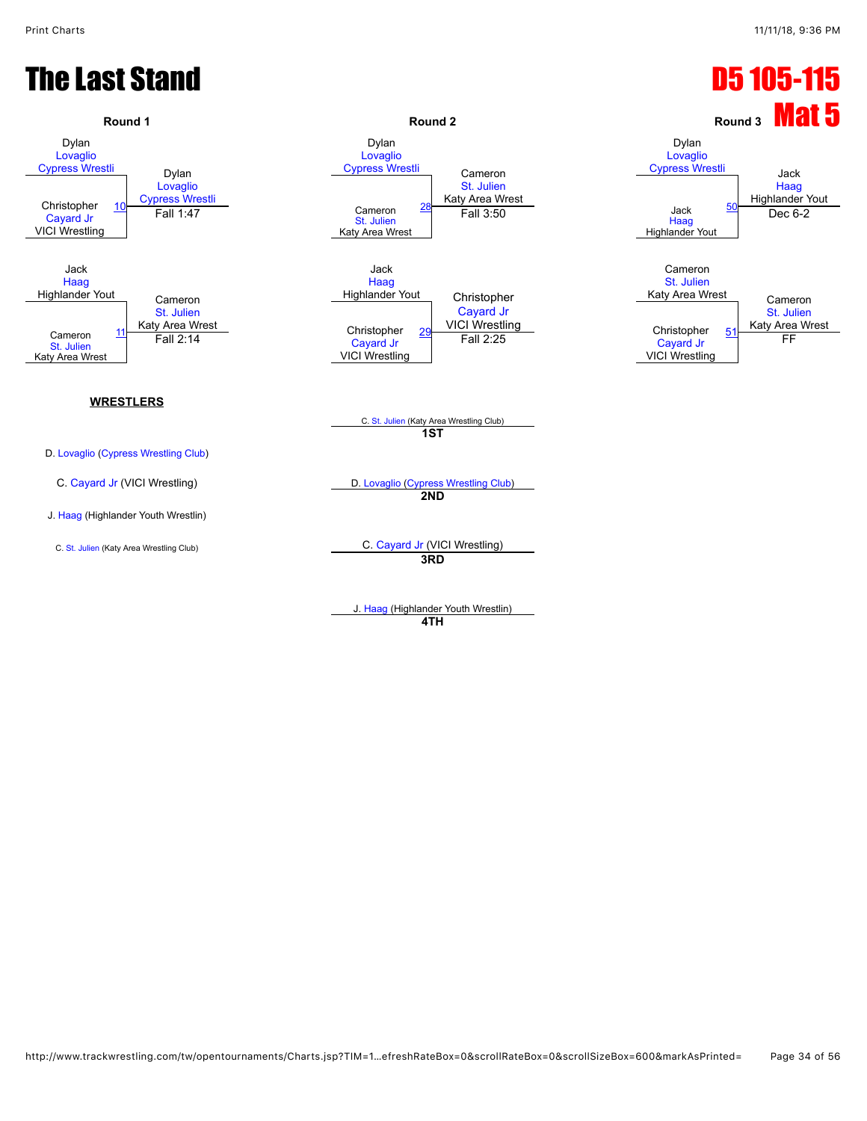## **The Last Stand D5 105-115**

![](_page_33_Figure_3.jpeg)

J. [Haag](javascript:viewProfile(71107096)) (Highlander Youth Wrestlin) **4TH**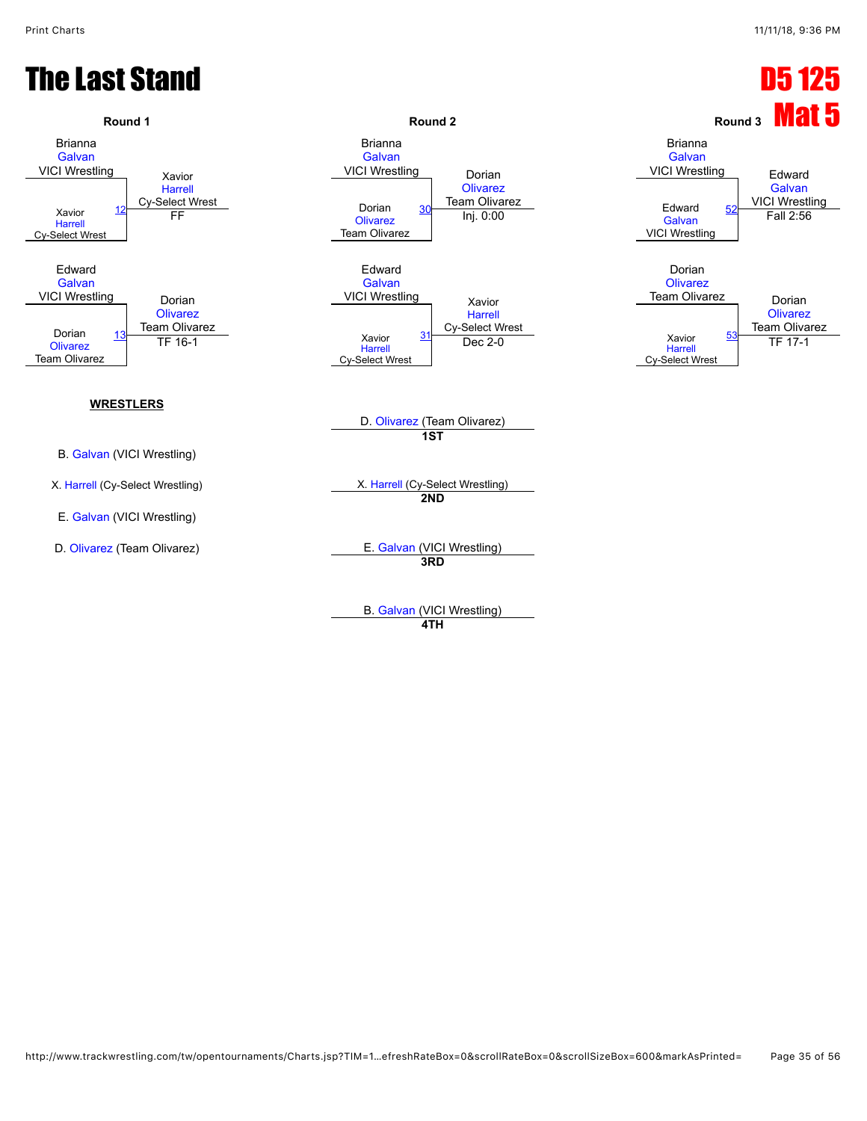#### **The Last Stand D5 125 Passet Stand D5 125 Passet Stand D5 125 Passet Control Control D5 125 Passet Control D5 125 Passet Control D5 125 Passet Control D5 125 Passet Control D5 125 Passet Control D5 125 Passet Control D5 1**

![](_page_34_Figure_3.jpeg)

B. [Galvan](javascript:viewProfile(1804069096)) (VICI Wrestling) **4TH**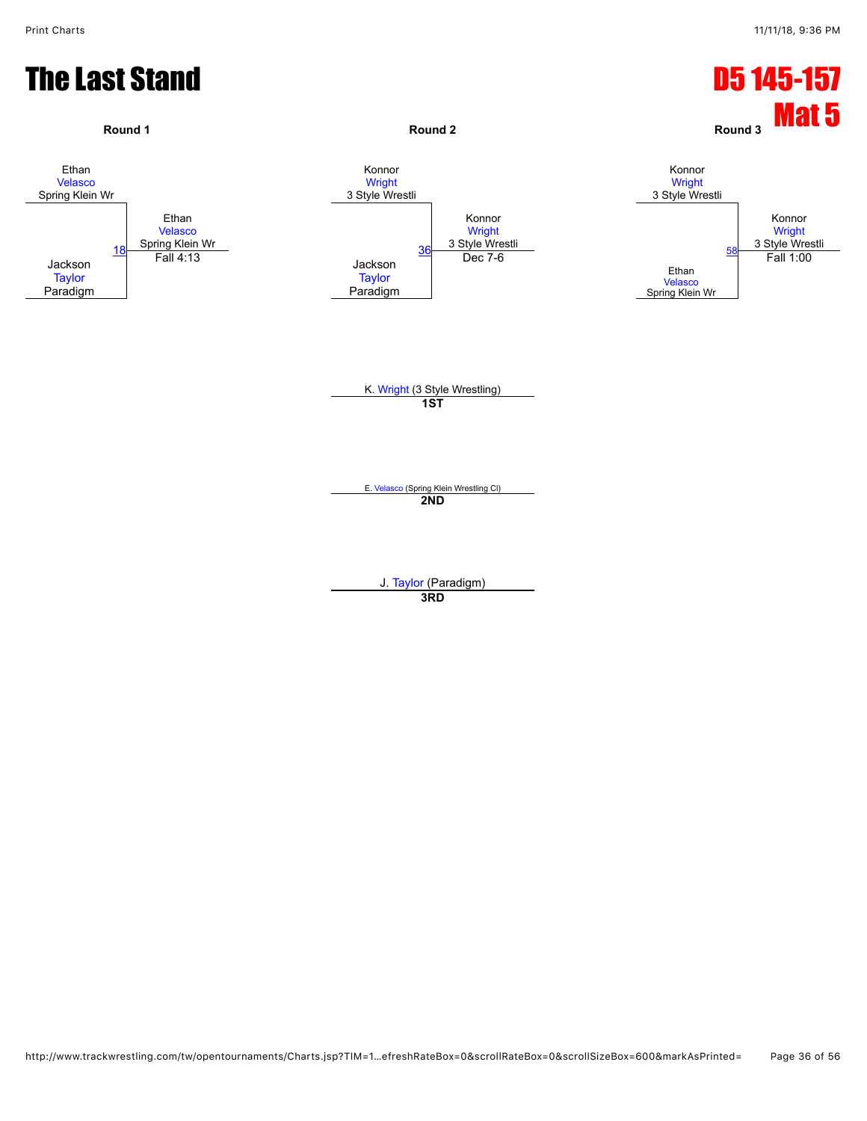![](_page_35_Figure_2.jpeg)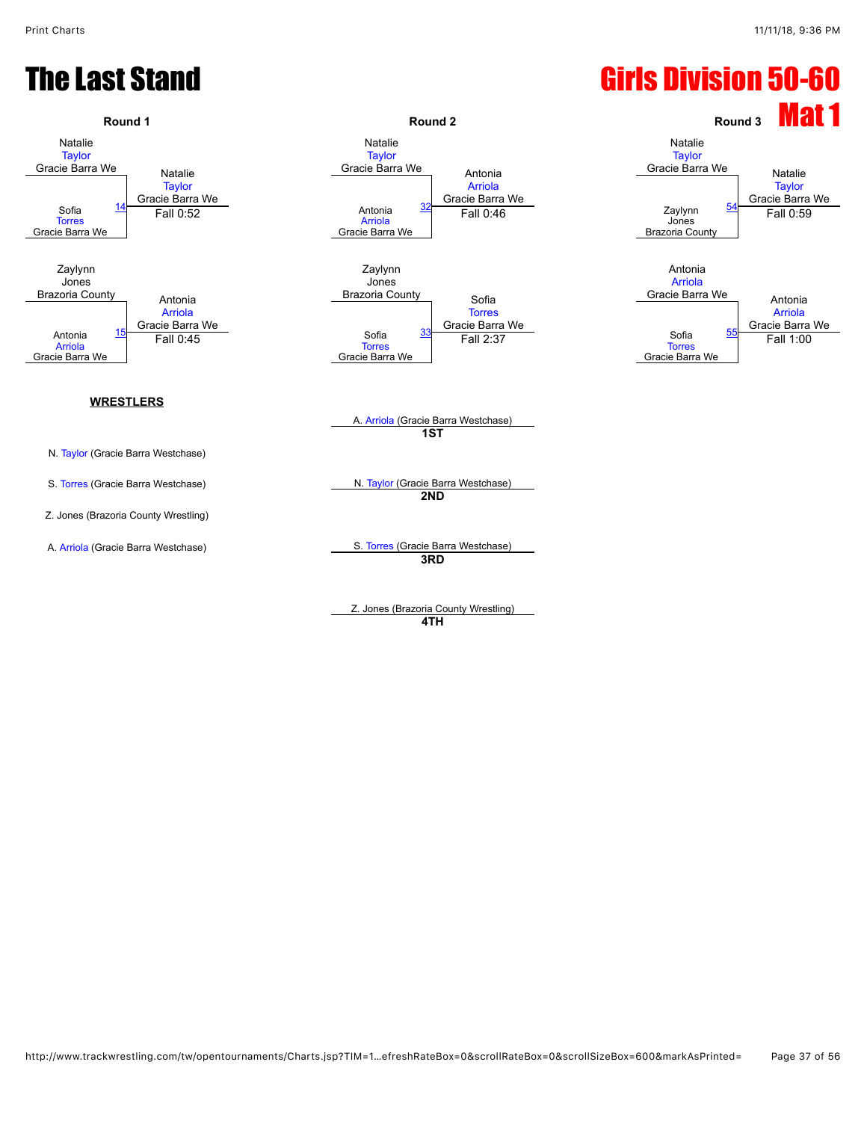#### **The Last Stand Girls Division 50-60**

![](_page_36_Figure_3.jpeg)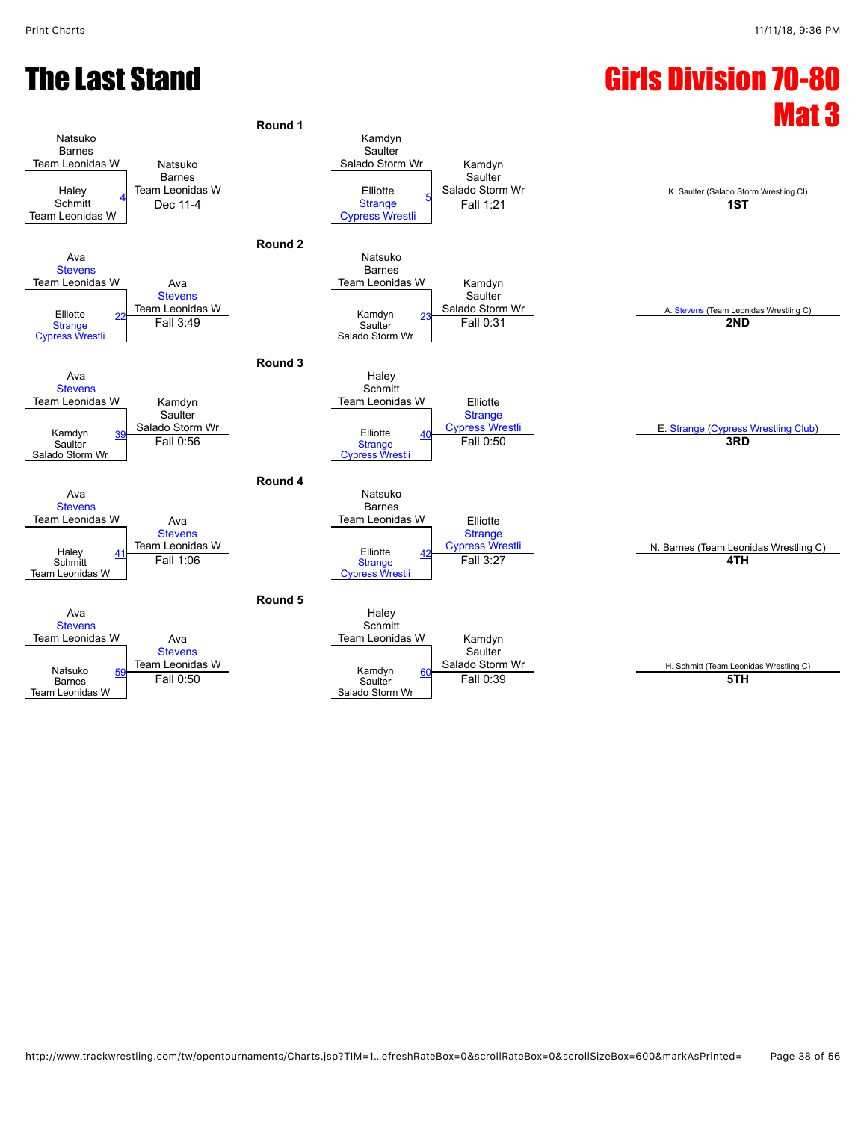![](_page_37_Figure_2.jpeg)

|                 | Ava<br><b>Stevens</b>                       |    |                                                | Haley<br>Schmi                    |
|-----------------|---------------------------------------------|----|------------------------------------------------|-----------------------------------|
| Team Leonidas W |                                             |    | Ava                                            | <b>Team Leoni</b>                 |
|                 | Natsuko<br><b>Barnes</b><br>Team Leonidas W | 59 | <b>Stevens</b><br>Team Leonidas W<br>Fall 0:50 | Kamdyn<br>Saulter<br>Salado Storn |

| Round 5 |                 |                         |                       |
|---------|-----------------|-------------------------|-----------------------|
|         | Haley           |                         |                       |
|         | Schmitt         |                         |                       |
|         | Team Leonidas W | Kamdyn                  |                       |
|         |                 | Saulter                 |                       |
|         |                 | Salado Storm Wr         | H. Schmitt (Team Leon |
|         |                 | Fall 0:39               | 5TH                   |
|         | Salado Storm Wr |                         |                       |
|         |                 | Kamdyn<br>60<br>Saulter |                       |

H. Schmitt (Team Leonidas Wrestling C)<br>5TH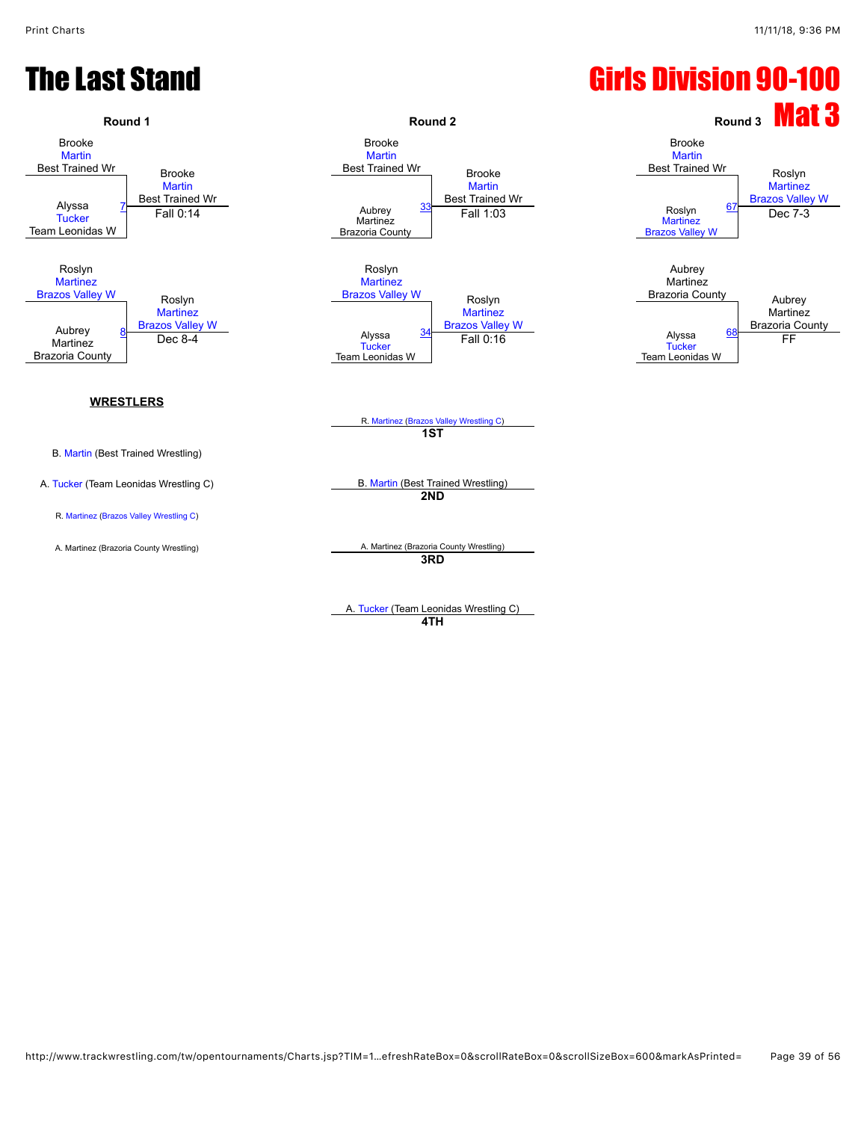#### **The Last Stand Girls Division 90-100**

![](_page_38_Figure_3.jpeg)

**4TH**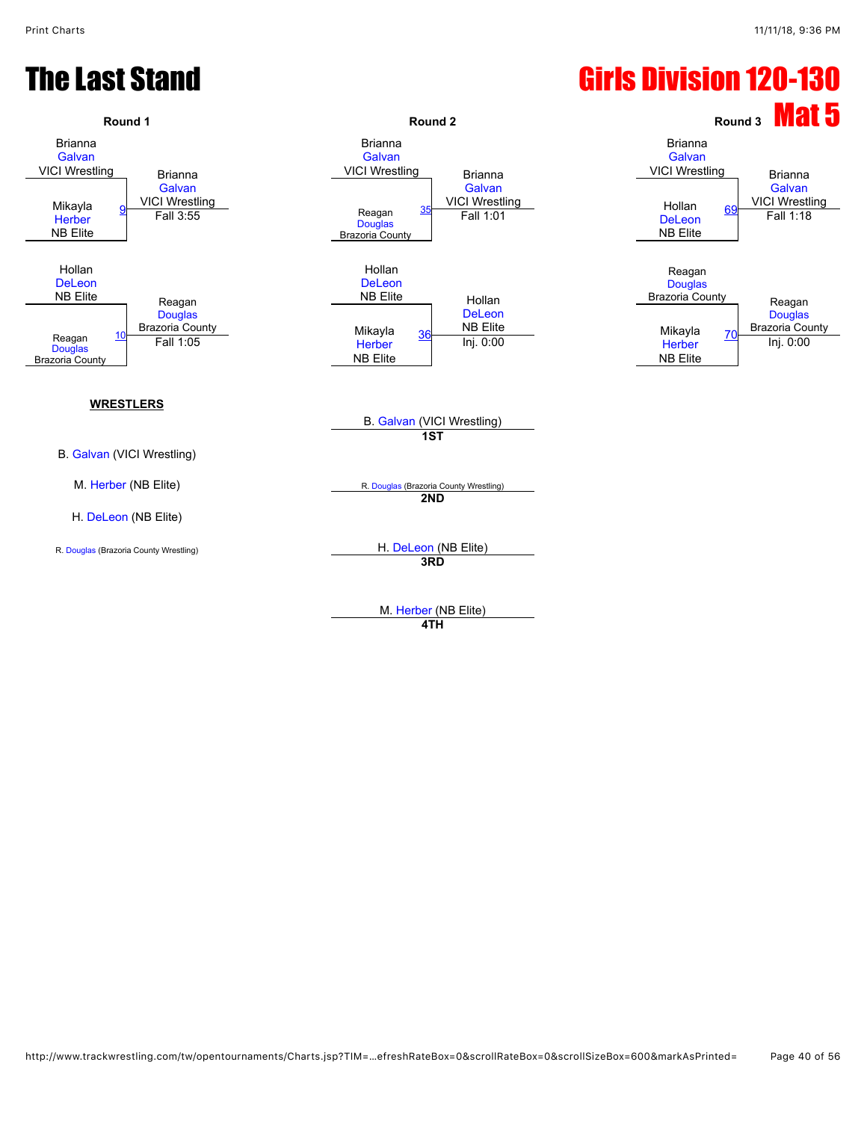#### **The Last Stand Girls Division 120-130**

![](_page_39_Figure_3.jpeg)

M. [Herber](javascript:viewProfile(1791675096)) (NB Elite) **4TH**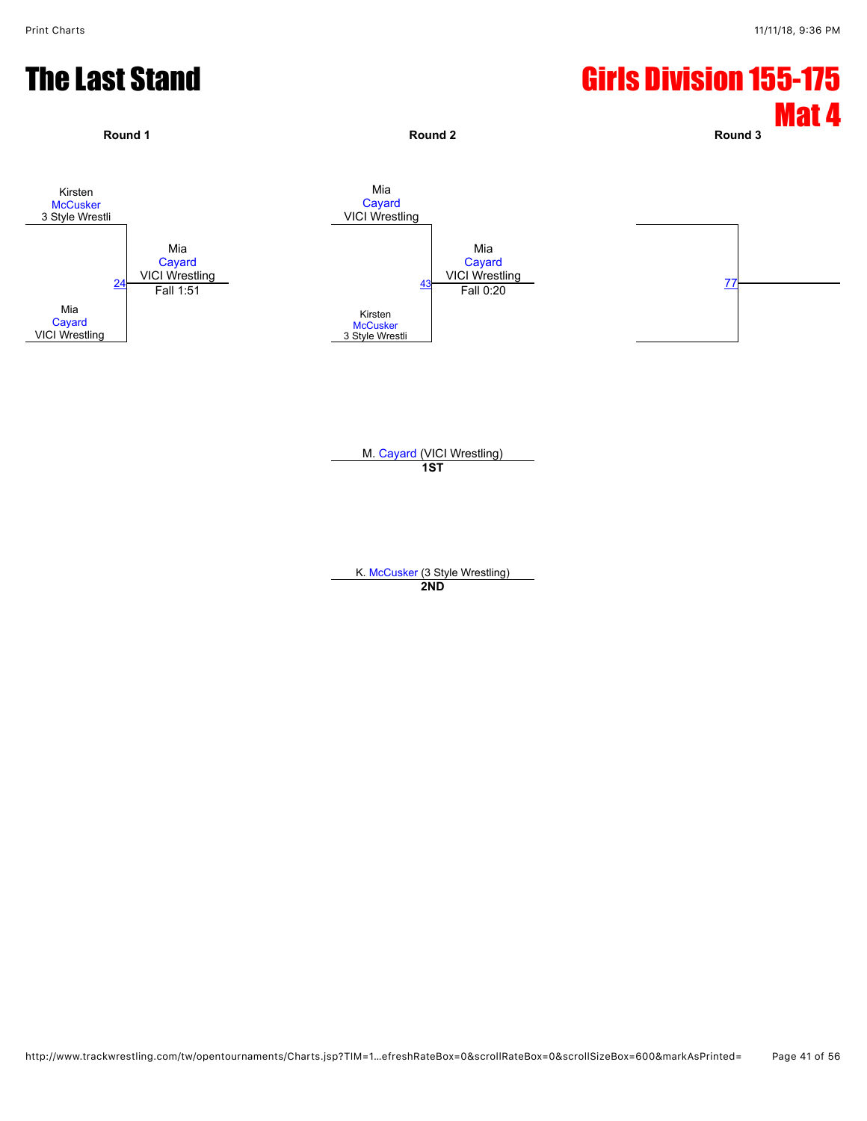#### **The Last Stand Girls Division 155-175**

![](_page_40_Figure_3.jpeg)

K. [McCusker](javascript:viewProfile(921958132)) (3 Style Wrestling) **2ND**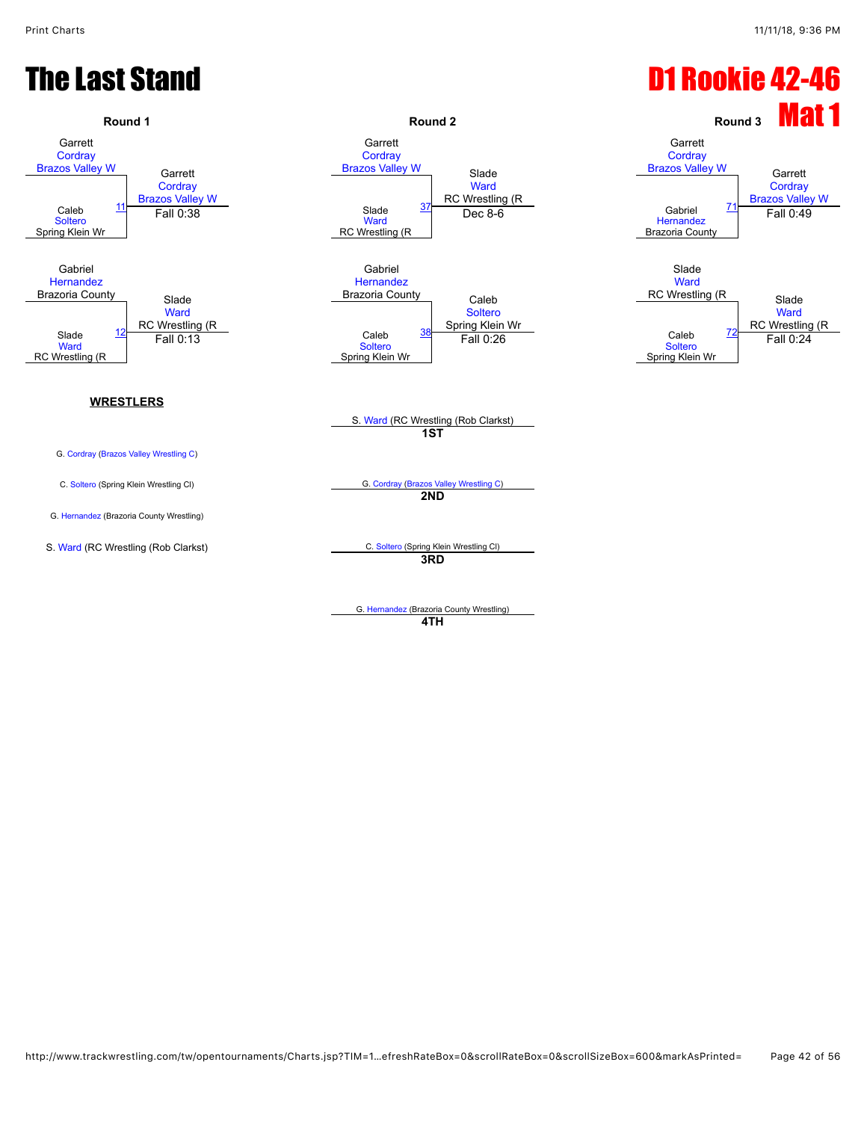#### **The Last Stand Controller Controller Controller Controller Controller Controller Controller Controller Controller Controller Controller Controller Controller Controller Controller Controller Controller Controller Controll Round 1 Round 2 Round 2 Round 2 Round 1 Mat 1** Garrett **[Cordray](javascript:viewProfile(915115132)) [Brazos Valley W](javascript:viewClub(16280009))** Garrett **[Cordray](javascript:viewProfile(915115132))** [Brazos Valley W](javascript:viewClub(16280009)) Garrett **[Cordray](javascript:viewProfile(915115132)) [Brazos Valley W](javascript:viewClub(16280009))** Slade **[Ward](javascript:viewProfile(665409132))** RC Wrestling (R Garrett **[Cordray](javascript:viewProfile(915115132)) [Brazos Valley W](javascript:viewClub(16280009))** Garrett **[Cordray](javascript:viewProfile(915115132))** [Brazos Valley W](javascript:viewClub(16280009)) Caleb **[Soltero](javascript:viewProfile(921843132))** Spring Klein Wr  $\frac{11}{2}$  $\frac{11}{2}$  $\frac{11}{2}$  Fall 0:38 **[Ward](javascript:viewProfile(665409132))** RC Wrestling (R [37](javascript:openBoutSheet(3,) Rowlesling (K)<br>Dec 8-6 Gabriel **[Hernandez](javascript:viewProfile(896293132))** Brazoria County  $\frac{37}{200}$  Cabriel  $\frac{71}{24}$  $\frac{71}{24}$  $\frac{71}{24}$  Cabriel  $\frac{71}{24}$  Fall 0:49 Gabriel **[Hernandez](javascript:viewProfile(896293132))** Brazoria County<br>
Slade **[Ward](javascript:viewProfile(665409132))** RC Wrestling (R Gabriel **[Hernandez](javascript:viewProfile(896293132))** Brazoria County Caleb [Soltero](javascript:viewProfile(921843132)) Spring Klein Wr Slade **[Ward](javascript:viewProfile(665409132))** RC Wrestling (R Slade [Ward](javascript:viewProfile(665409132)) RC Wrestling (R Slade [Ward](javascript:viewProfile(665409132)) RC Wrestling (R [12](javascript:openBoutSheet(2,) Caleb<br>
Fall 0:13 Caleb [Soltero](javascript:viewProfile(921843132)) Spring Klein Wr  $\frac{38}{28}$  $\frac{38}{28}$  $\frac{38}{28}$  Caleb Fall 0:26 Caleb **[Soltero](javascript:viewProfile(921843132))** Spring Klein Wr  $\frac{1}{2}$  Fall 0:13 Fall 0:24 Fall 0:26 Fall 0:26 Fall 0:24 Fall 0:24 Fall 0:24 S. [Ward](javascript:viewProfile(665409132)) (RC Wrestling (Rob Clarkst) **WRESTLERS** G. [Cordray](javascript:viewProfile(915115132)) ([Brazos Valley Wrestling C\)](javascript:viewClub(16280009)) **1ST** C. [Soltero](javascript:viewProfile(921843132)) (Spring Klein Wrestling Cl) G. [Cordray](javascript:viewProfile(915115132)) ([Brazos Valley Wrestling C\)](javascript:viewClub(16280009)) G. [Hernandez](javascript:viewProfile(896293132)) (Brazoria County Wrestling) **2ND** S. [Ward](javascript:viewProfile(665409132)) (RC Wrestling (Rob Clarkst) C. [Soltero](javascript:viewProfile(921843132)) (Spring Klein Wrestling Cl) **3RD** G. [Hernandez](javascript:viewProfile(896293132)) (Brazoria County Wrestling)

**4TH**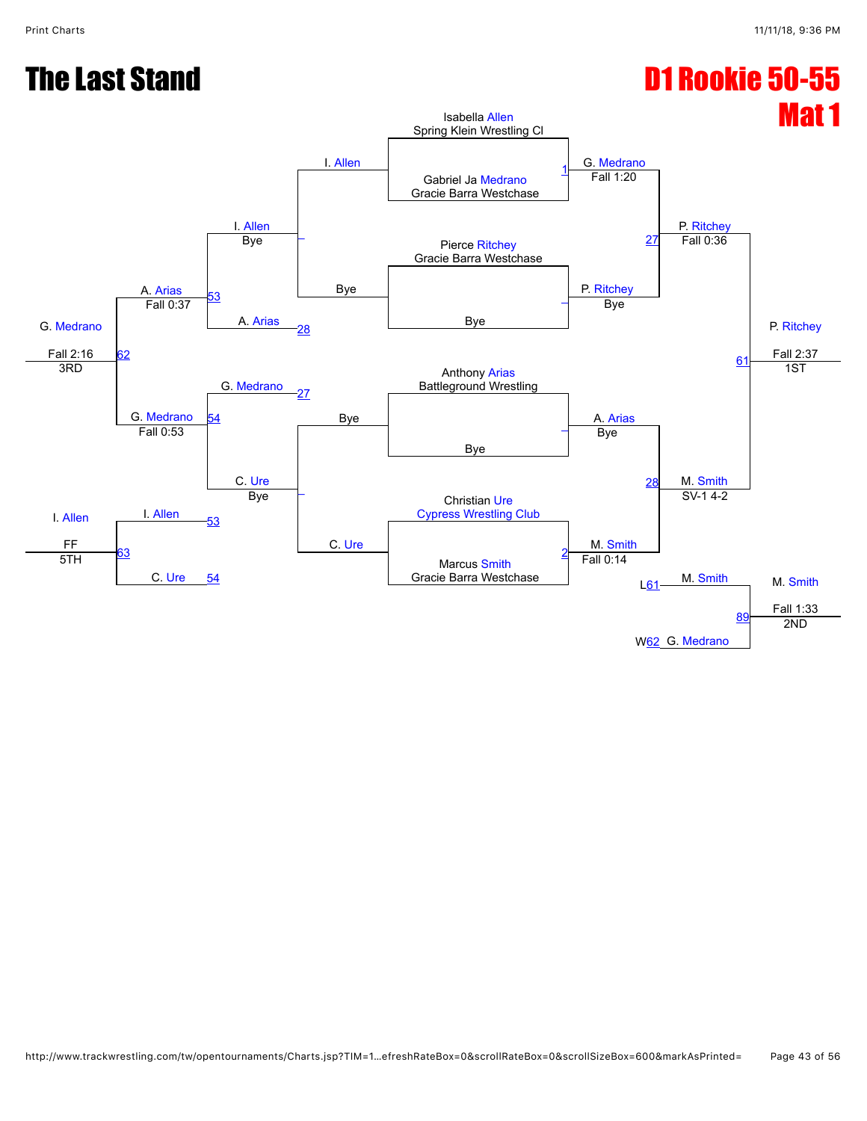### The Last Stand D1 Rookie 50-55

![](_page_42_Figure_3.jpeg)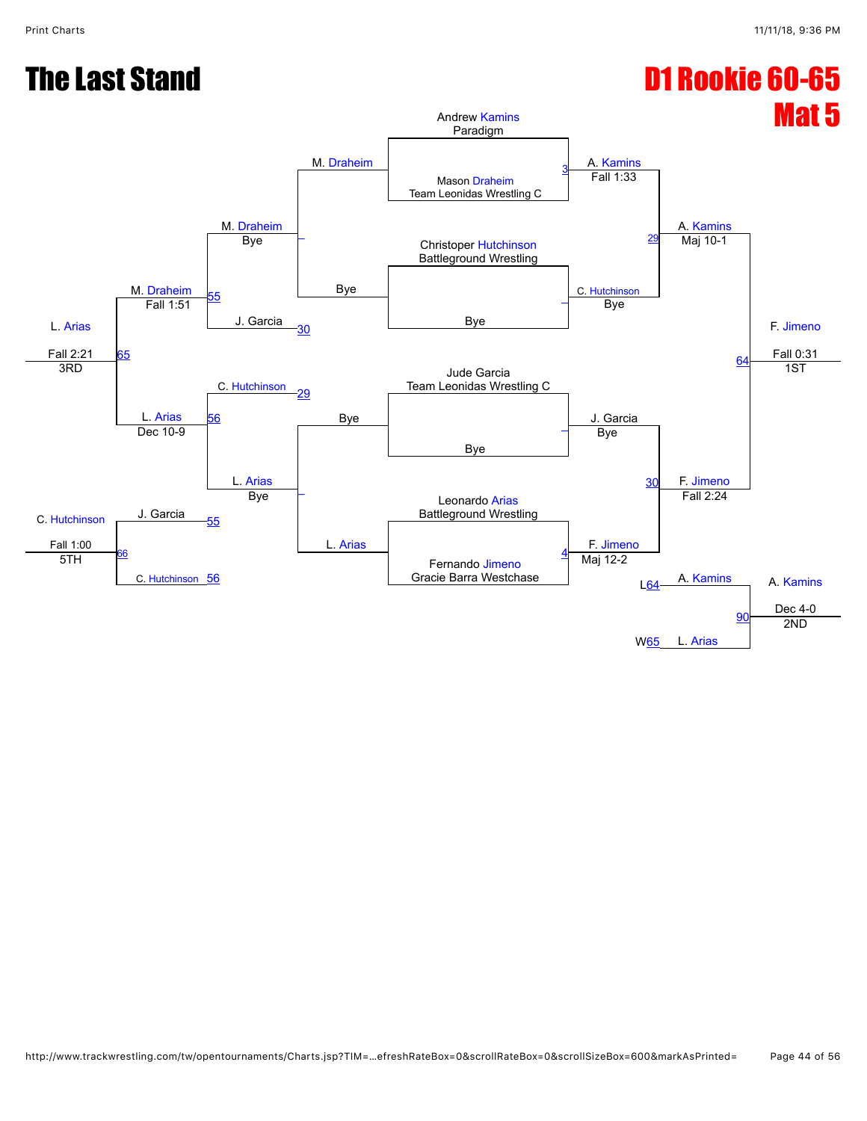### **The Last Stand Controller Controller Controller Controller Controller Controller Controller Controller Controller Controller Controller Controller Controller Controller Controller Controller Controller Controller Controll**

![](_page_43_Figure_3.jpeg)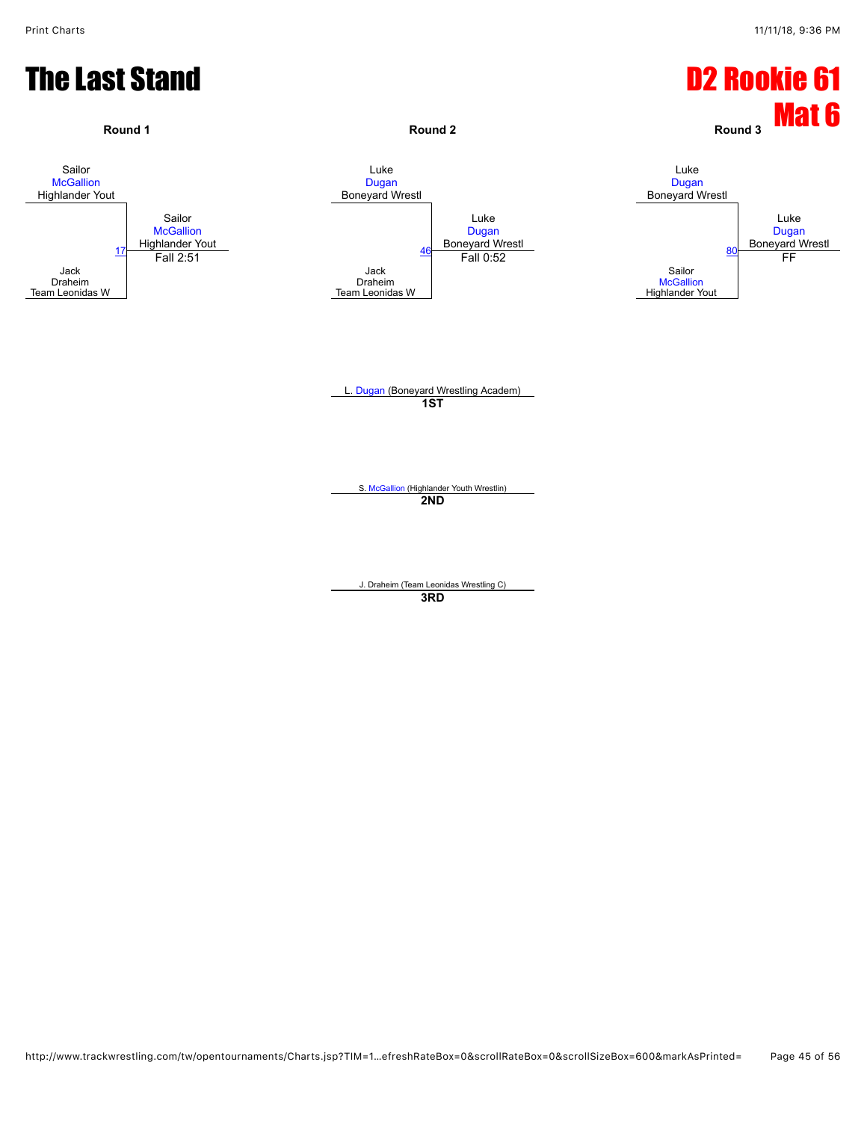![](_page_44_Figure_2.jpeg)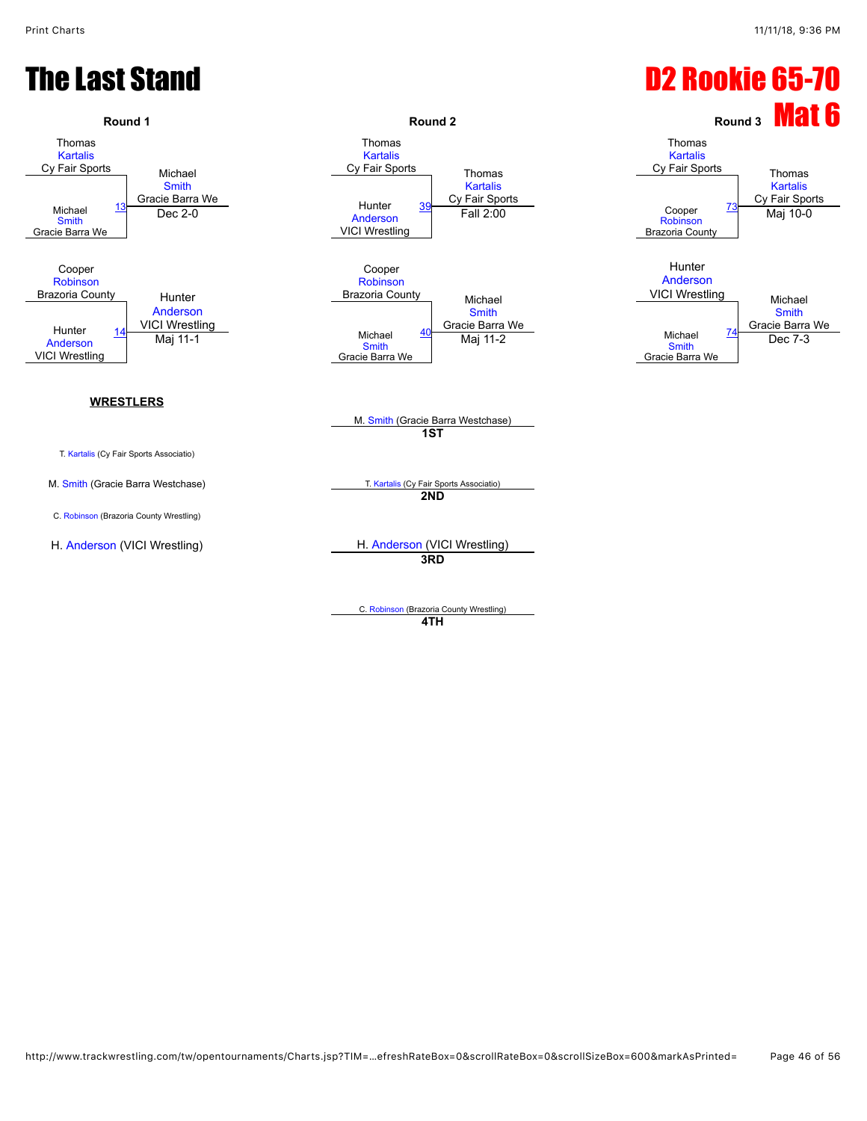# The Last Stand **D2 Rookie 65-70**

![](_page_45_Figure_3.jpeg)

C. [Robinson](javascript:viewProfile(921237132)) (Brazoria County Wrestling) **4TH**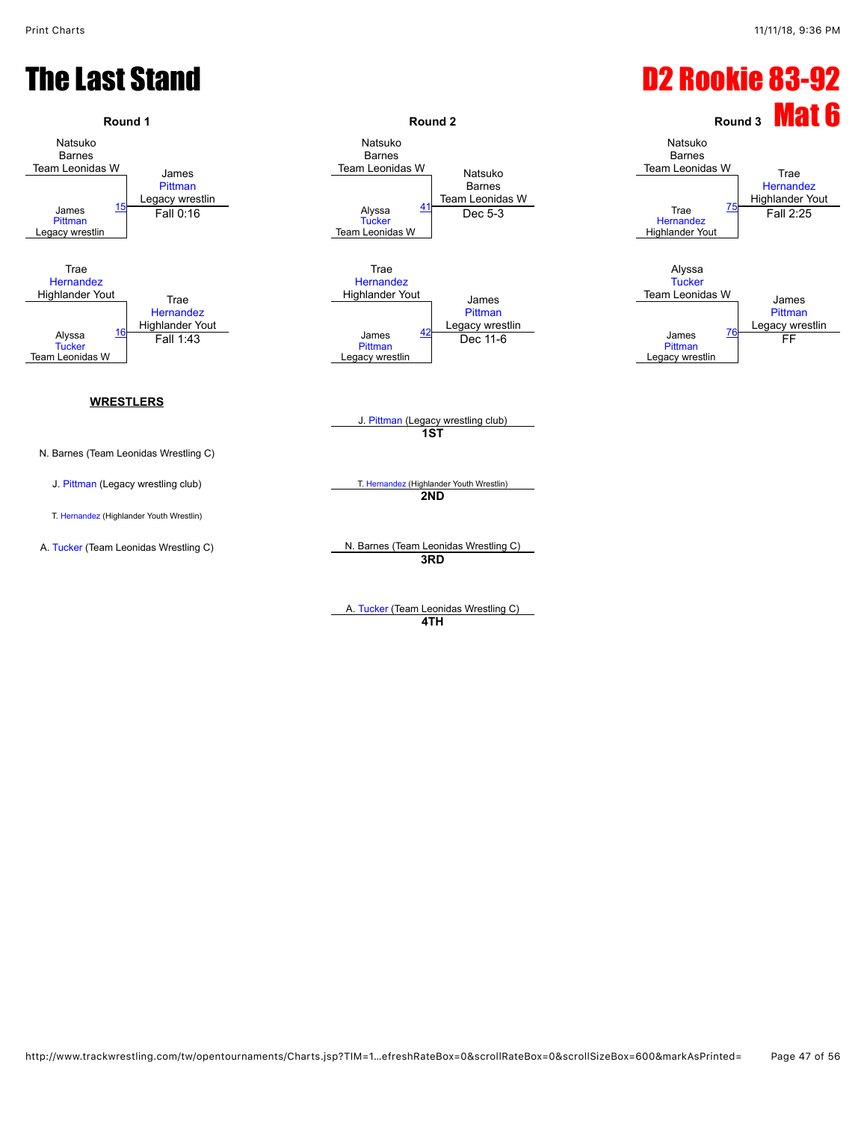#### **The Last Stand Care Control Control Canadian Care Control Canadian Care Control Canadian D2 Rookie 83-92**

![](_page_46_Figure_3.jpeg)

**4TH**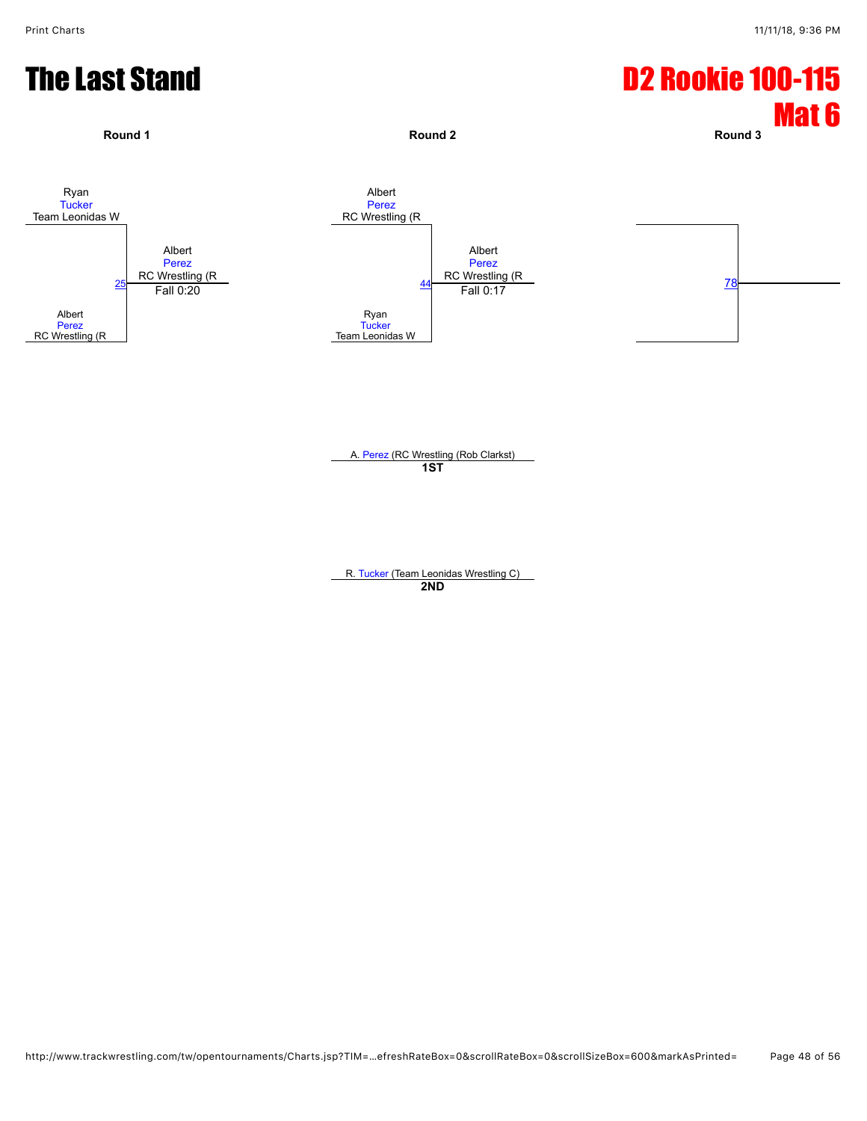### **The Last Stand Care Control Control Canadian Care Control Canadian D2 Rookie 100-115**

![](_page_47_Figure_3.jpeg)

A. [Perez](javascript:viewProfile(920729132)) (RC Wrestling (Rob Clarkst) **1ST**

R. [Tucker](javascript:viewProfile(915180132)) (Team Leonidas Wrestling C) **2ND**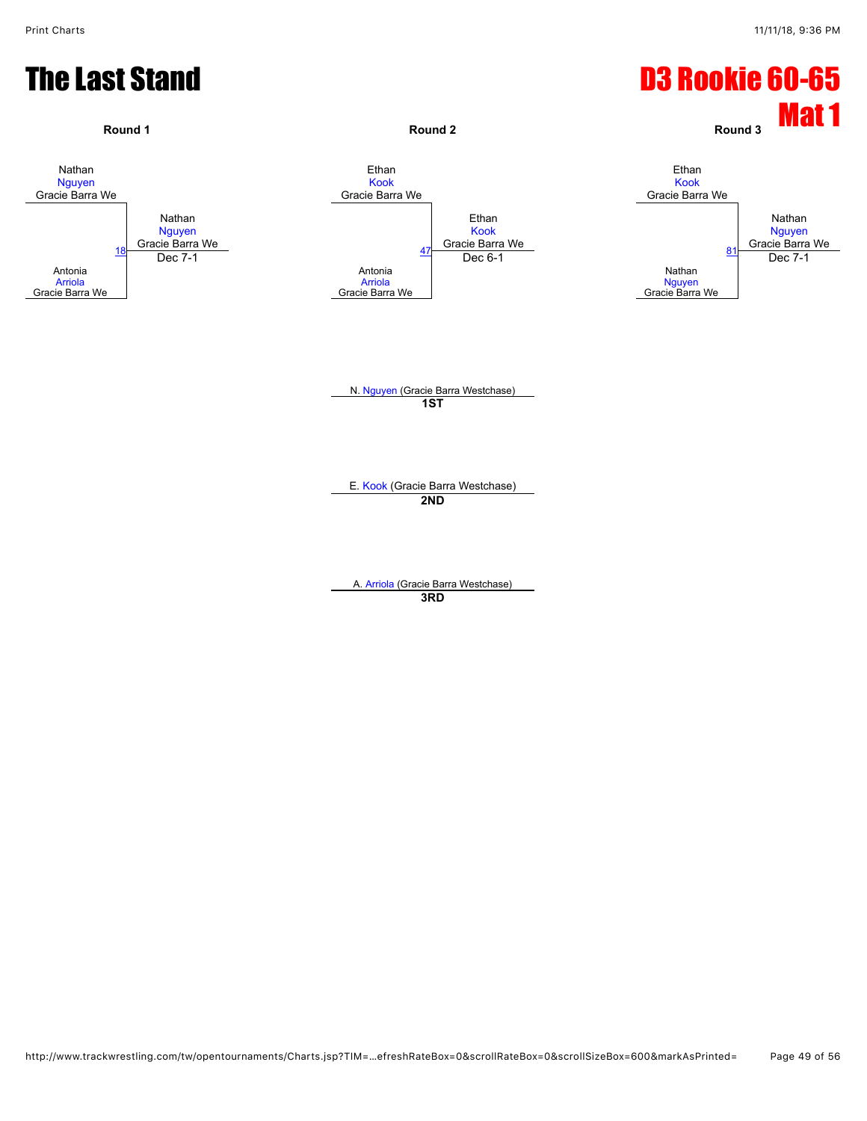![](_page_48_Figure_2.jpeg)

N. [Nguyen](javascript:viewProfile(616770132)) (Gracie Barra Westchase) **1ST**

E. [Kook](javascript:viewProfile(895641132)) (Gracie Barra Westchase) **2ND**

A. [Arriola](javascript:viewProfile(915514132)) (Gracie Barra Westchase) **3RD**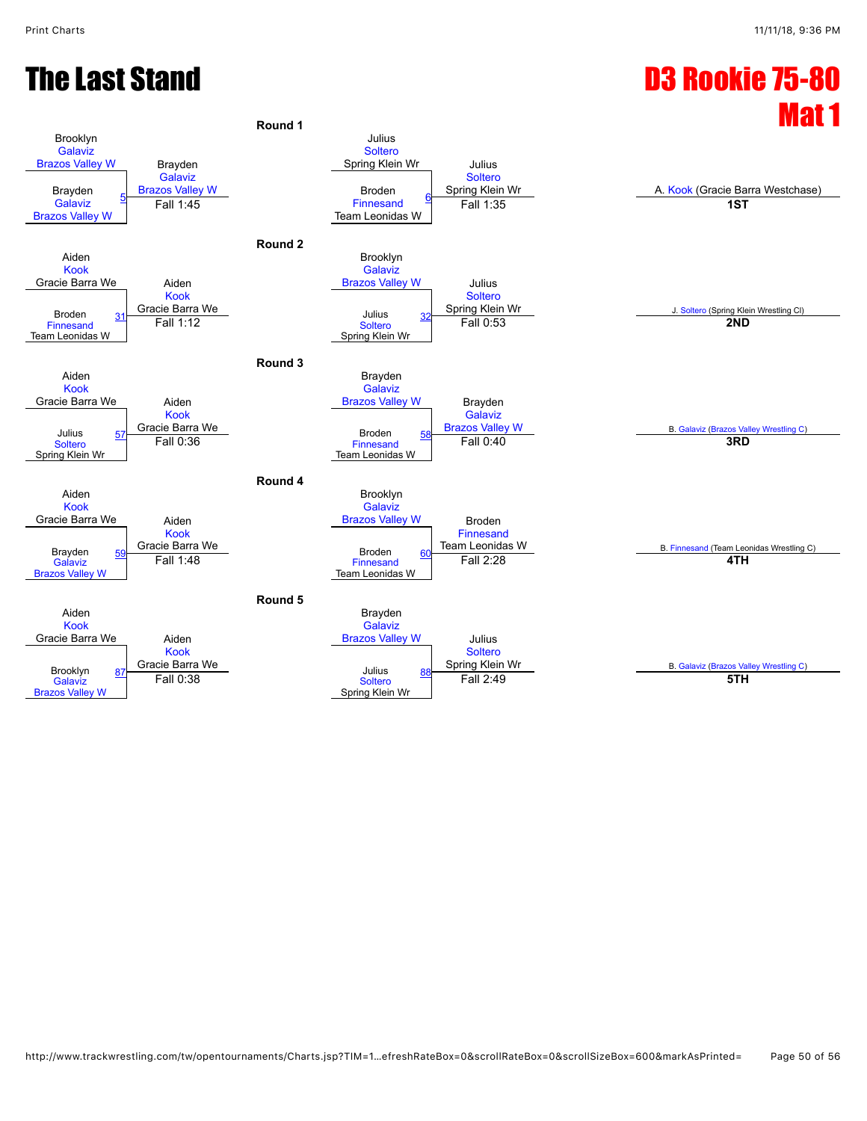#### The Last Stand D3 Rookie 75-80

![](_page_49_Figure_2.jpeg)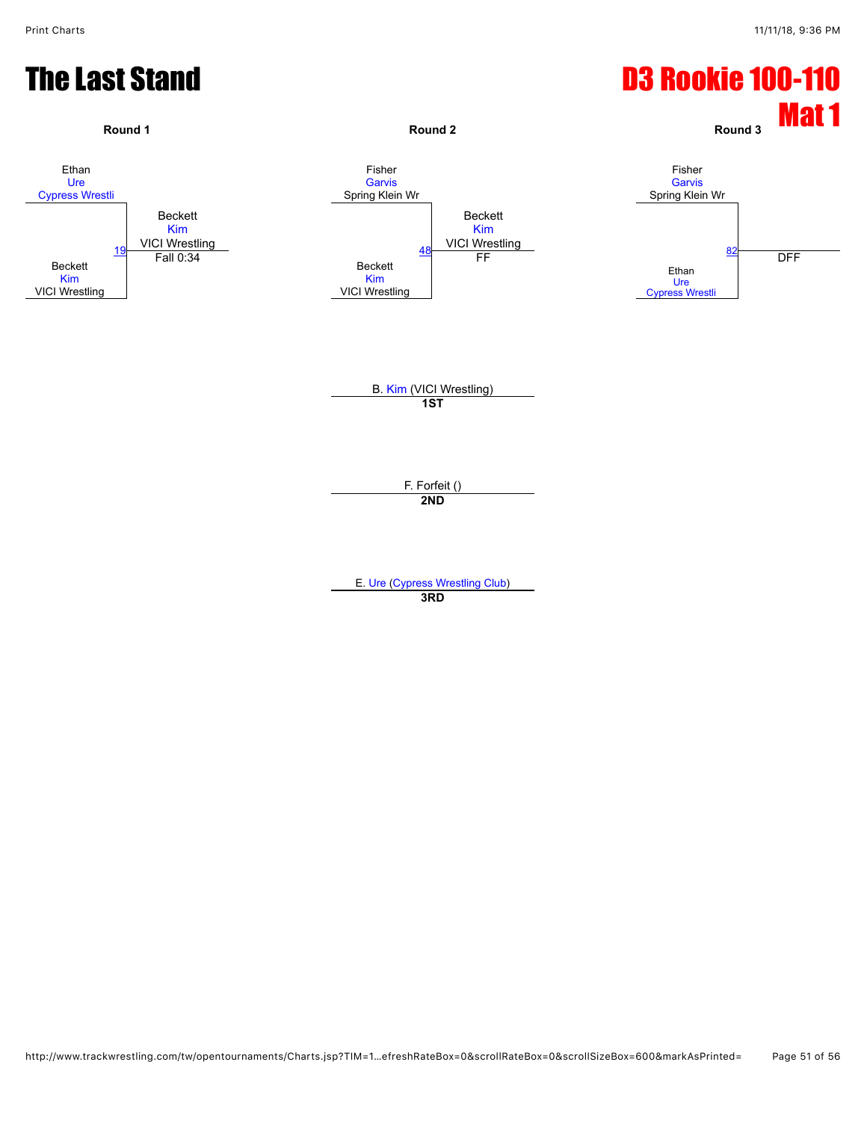![](_page_50_Figure_2.jpeg)

E. [Ure](javascript:viewProfile(917907132)) ([Cypress Wrestling Club\)](javascript:viewClub(358959009)) **3RD**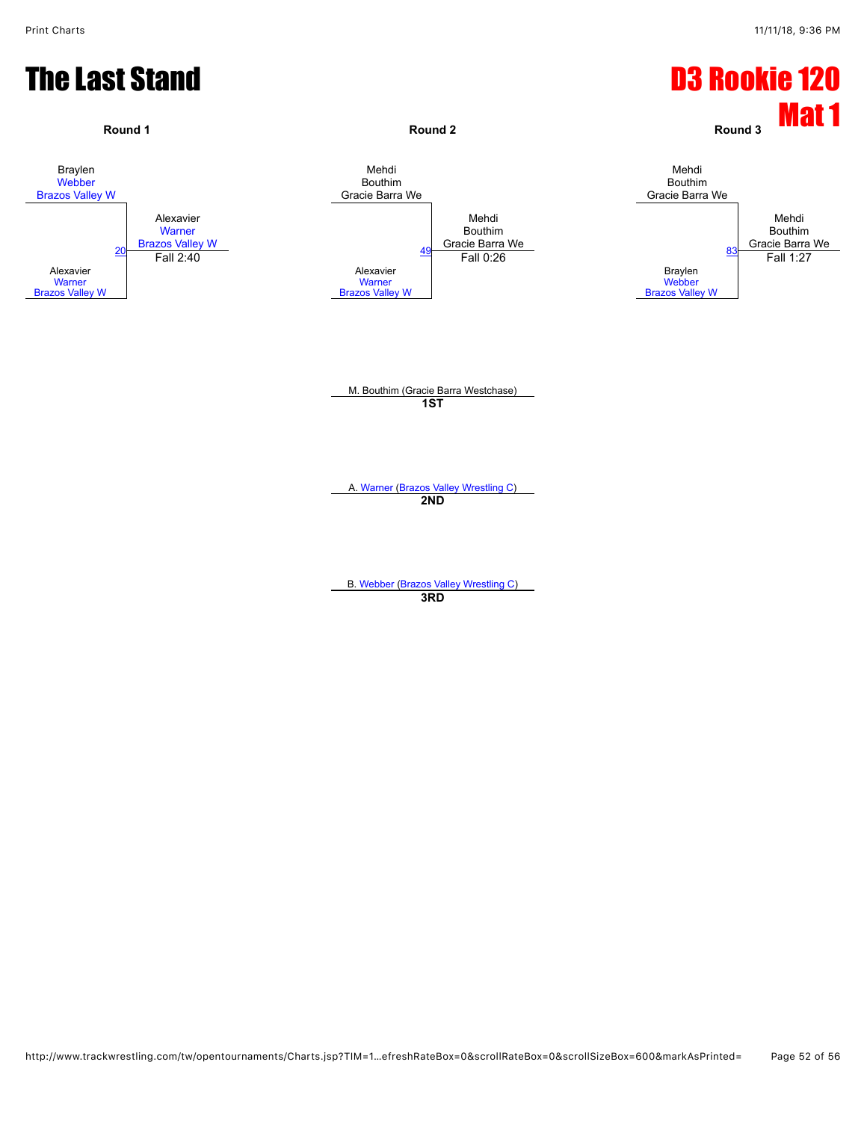![](_page_51_Figure_2.jpeg)

**3RD**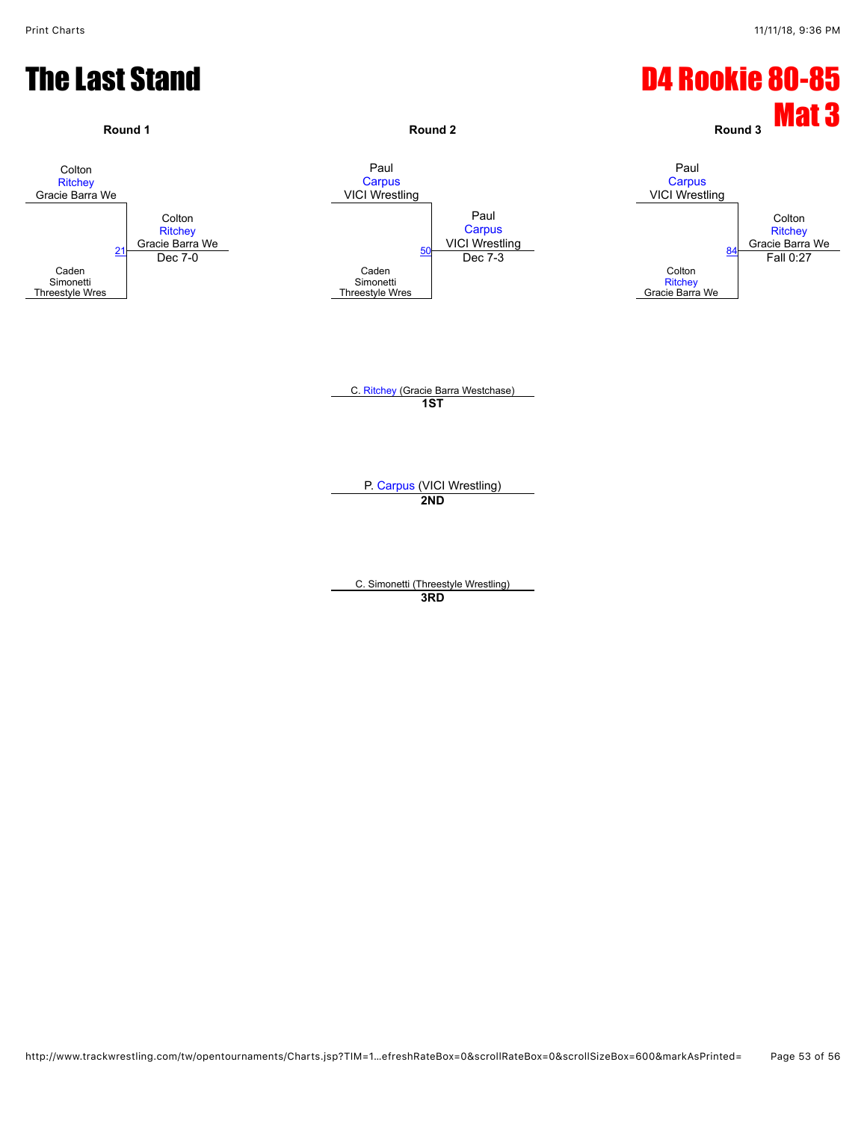![](_page_52_Figure_2.jpeg)

C. Simonetti (Threestyle Wrestling) **3RD**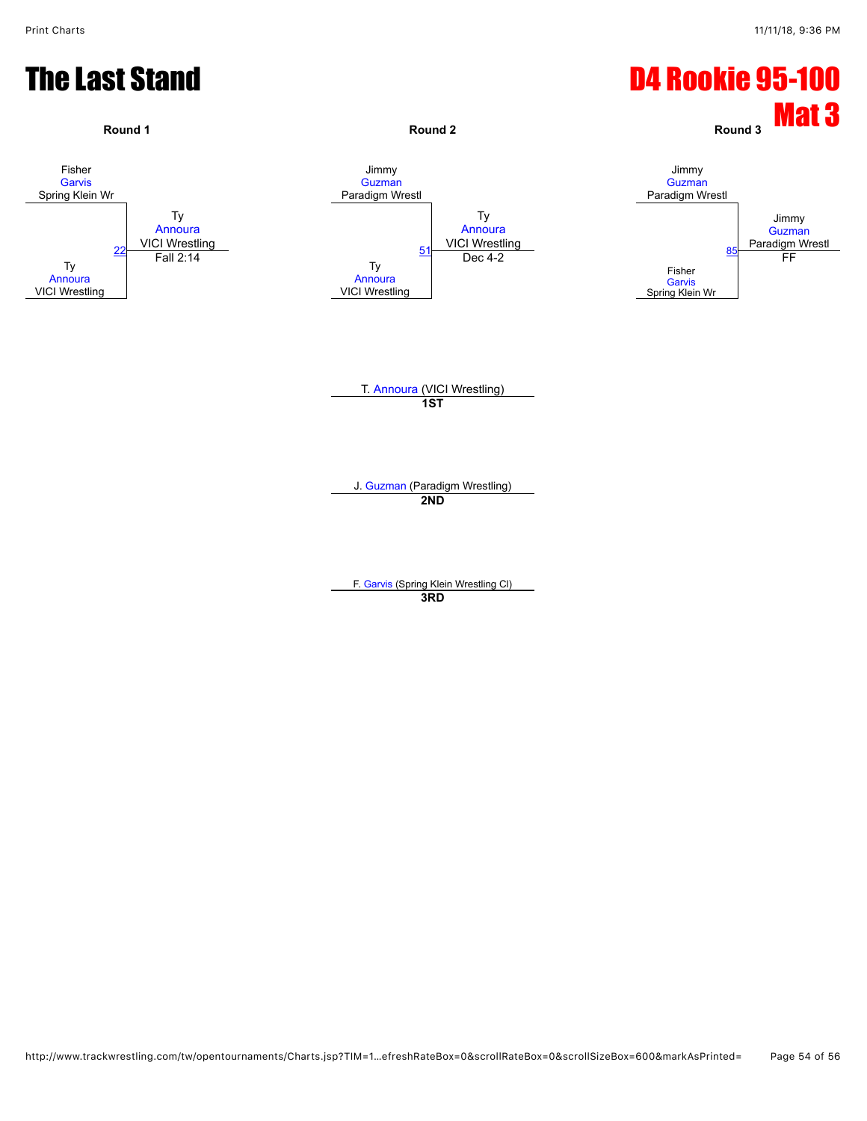![](_page_53_Figure_2.jpeg)

F. [Garvis](javascript:viewProfile(915037132)) (Spring Klein Wrestling Cl) **3RD**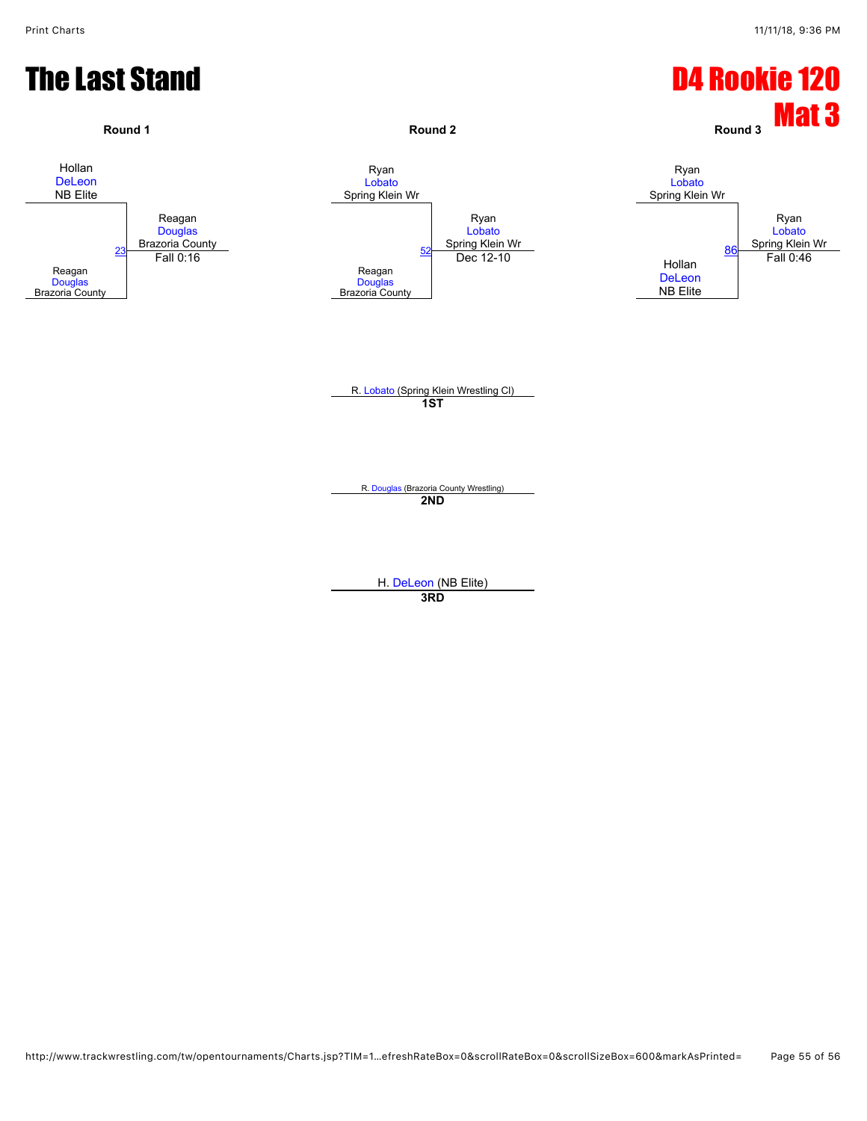![](_page_54_Figure_2.jpeg)

H. [DeLeon](javascript:viewProfile(627825132)) (NB Elite)

**3RD**